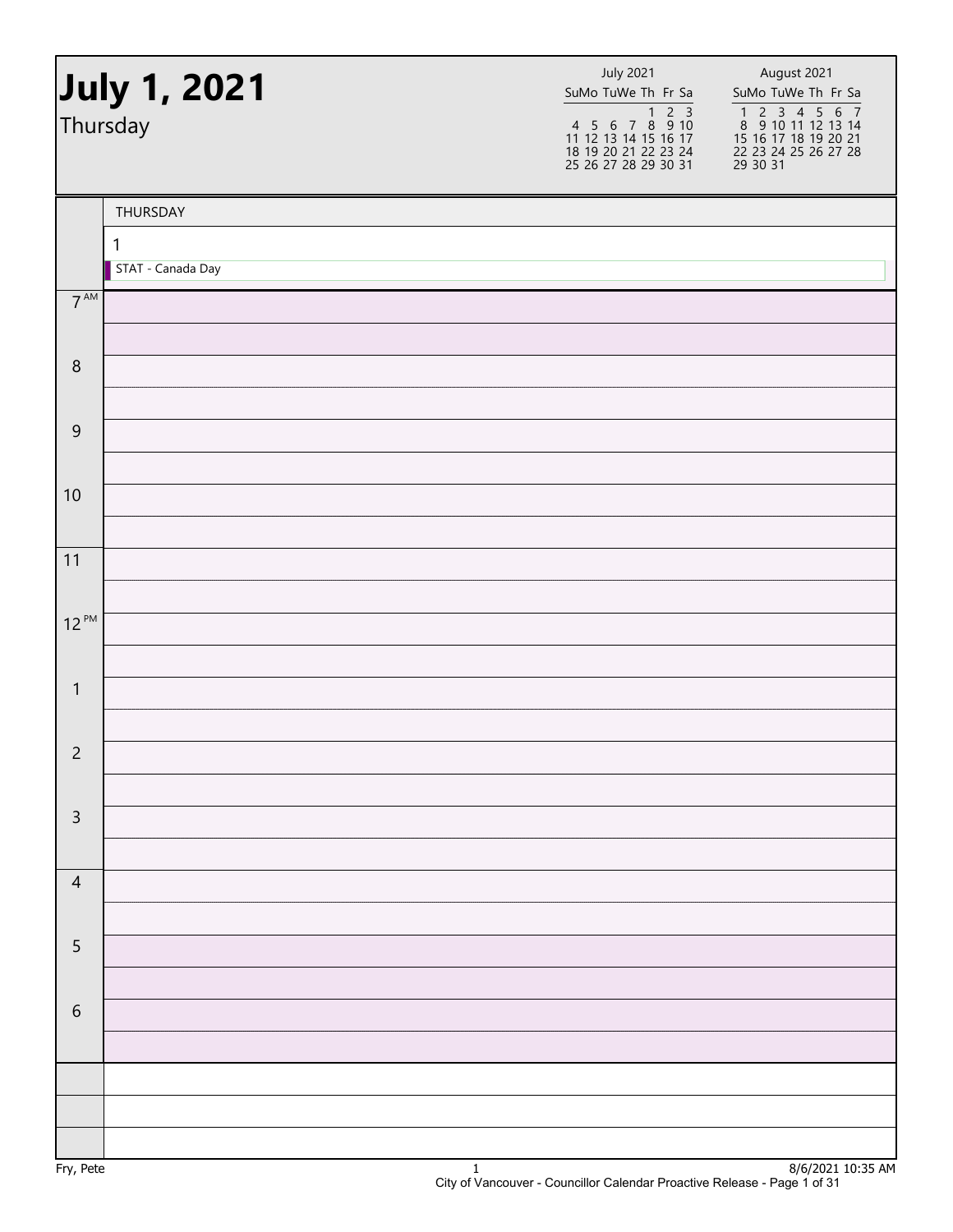|                 | July 1, 2021<br>Thursday | <b>July 2021</b><br>SuMo TuWe Th Fr Sa | August 2021<br>SuMo TuWe Th Fr Sa<br>1 2 3 4 5 6 7<br>8 9 10 11 12 13 14<br>15 16 17 18 19 20 21<br>22 23 24 25 26 27 28<br>29 30 31 |
|-----------------|--------------------------|----------------------------------------|--------------------------------------------------------------------------------------------------------------------------------------|
|                 | THURSDAY                 |                                        |                                                                                                                                      |
|                 | 1<br>STAT - Canada Day   |                                        |                                                                                                                                      |
| $7^{\text{AM}}$ |                          |                                        |                                                                                                                                      |
| $\, 8$          |                          |                                        |                                                                                                                                      |
| $\overline{9}$  |                          |                                        |                                                                                                                                      |
| 10              |                          |                                        |                                                                                                                                      |
| 11              |                          |                                        |                                                                                                                                      |
| $12^{PM}$       |                          |                                        |                                                                                                                                      |
| $\mathbf{1}$    |                          |                                        |                                                                                                                                      |
| $\overline{c}$  |                          |                                        |                                                                                                                                      |
| $\mathsf{3}$    |                          |                                        |                                                                                                                                      |
| $\overline{4}$  |                          |                                        |                                                                                                                                      |
| 5               |                          |                                        |                                                                                                                                      |
| $\,$ 6 $\,$     |                          |                                        |                                                                                                                                      |
|                 |                          |                                        |                                                                                                                                      |
|                 |                          |                                        |                                                                                                                                      |
|                 |                          |                                        |                                                                                                                                      |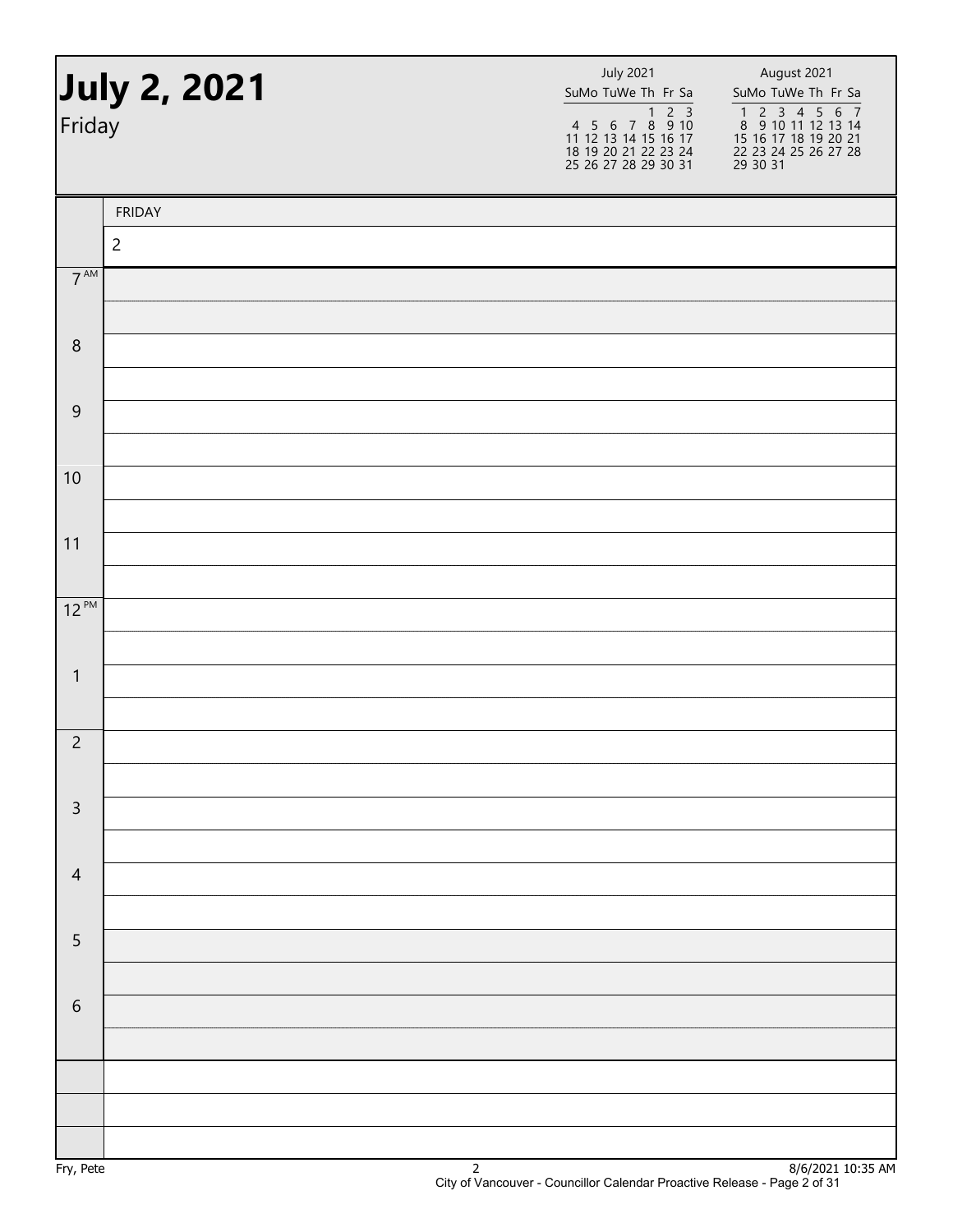| Friday          | July 2, 2021   | <b>July 2021</b><br>SuMo TuWe Th Fr Sa | August 2021<br>SuMo TuWe Th Fr Sa<br>1 2 3 4 5 6 7<br>8 9 10 11 12 13 14<br>15 16 17 18 19 20 21<br>22 23 24 25 26 27 28<br>29 30 31 |
|-----------------|----------------|----------------------------------------|--------------------------------------------------------------------------------------------------------------------------------------|
|                 | <b>FRIDAY</b>  |                                        |                                                                                                                                      |
|                 | $\overline{c}$ |                                        |                                                                                                                                      |
| $7^{\text{AM}}$ |                |                                        |                                                                                                                                      |
|                 |                |                                        |                                                                                                                                      |
| $\,8\,$         |                |                                        |                                                                                                                                      |
| $\overline{9}$  |                |                                        |                                                                                                                                      |
|                 |                |                                        |                                                                                                                                      |
| 10              |                |                                        |                                                                                                                                      |
|                 |                |                                        |                                                                                                                                      |
| 11              |                |                                        |                                                                                                                                      |
|                 |                |                                        |                                                                                                                                      |
| $12^{PM}$       |                |                                        |                                                                                                                                      |
| $\mathbf{1}$    |                |                                        |                                                                                                                                      |
|                 |                |                                        |                                                                                                                                      |
| $\overline{c}$  |                |                                        |                                                                                                                                      |
|                 |                |                                        |                                                                                                                                      |
| $\mathsf{3}$    |                |                                        |                                                                                                                                      |
|                 |                |                                        |                                                                                                                                      |
| $\overline{4}$  |                |                                        |                                                                                                                                      |
| $\sqrt{5}$      |                |                                        |                                                                                                                                      |
|                 |                |                                        |                                                                                                                                      |
| $\sqrt{6}$      |                |                                        |                                                                                                                                      |
|                 |                |                                        |                                                                                                                                      |
|                 |                |                                        |                                                                                                                                      |
|                 |                |                                        |                                                                                                                                      |
|                 |                |                                        |                                                                                                                                      |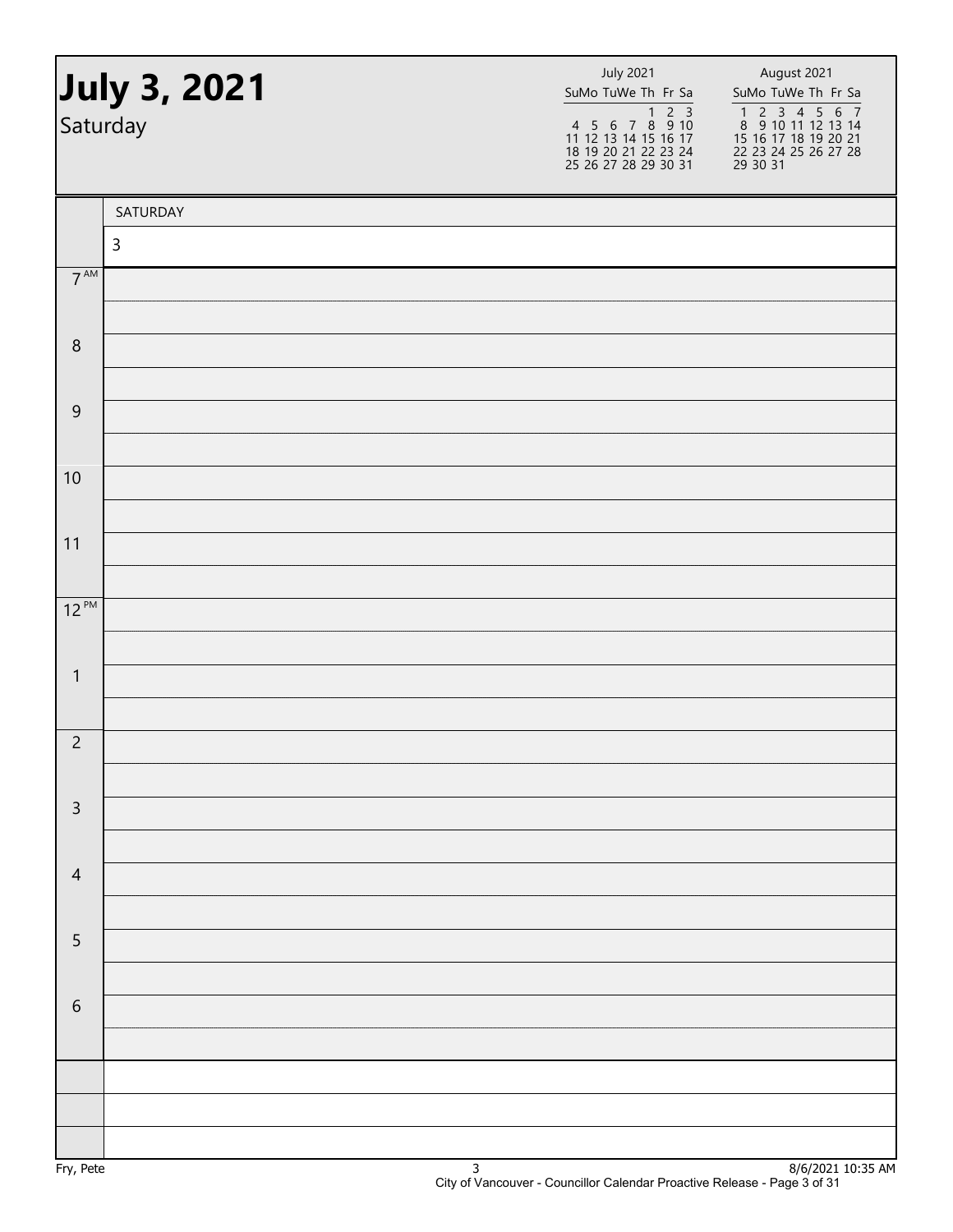| July 3, 2021<br>Saturday |             | <b>July 2021</b><br>SuMo TuWe Th Fr Sa<br>1 2 3<br>4 5 6 7 8 9 10<br>11 12 13 14 15 16 17<br>18 19 20 21 22 23 24<br>25 26 27 28 29 30 31 | August 2021<br>SuMo TuWe Th Fr Sa<br>1 2 3 4 5 6 7<br>8 9 10 11 12 13 14<br>15 16 17 18 19 20 21<br>22 23 24 25 26 27 28<br>29 30 31 |
|--------------------------|-------------|-------------------------------------------------------------------------------------------------------------------------------------------|--------------------------------------------------------------------------------------------------------------------------------------|
|                          | SATURDAY    |                                                                                                                                           |                                                                                                                                      |
|                          | $\mathsf 3$ |                                                                                                                                           |                                                                                                                                      |
| $7^{\text{AM}}$          |             |                                                                                                                                           |                                                                                                                                      |
| $\, 8$                   |             |                                                                                                                                           |                                                                                                                                      |
|                          |             |                                                                                                                                           |                                                                                                                                      |
| $\overline{9}$           |             |                                                                                                                                           |                                                                                                                                      |
|                          |             |                                                                                                                                           |                                                                                                                                      |
| 10                       |             |                                                                                                                                           |                                                                                                                                      |
| 11                       |             |                                                                                                                                           |                                                                                                                                      |
|                          |             |                                                                                                                                           |                                                                                                                                      |
| $12^{PM}$                |             |                                                                                                                                           |                                                                                                                                      |
| $\mathbf{1}$             |             |                                                                                                                                           |                                                                                                                                      |
|                          |             |                                                                                                                                           |                                                                                                                                      |
| $\overline{c}$           |             |                                                                                                                                           |                                                                                                                                      |
|                          |             |                                                                                                                                           |                                                                                                                                      |
| $\mathsf{3}$             |             |                                                                                                                                           |                                                                                                                                      |
| $\overline{4}$           |             |                                                                                                                                           |                                                                                                                                      |
|                          |             |                                                                                                                                           |                                                                                                                                      |
| $\overline{5}$           |             |                                                                                                                                           |                                                                                                                                      |
|                          |             |                                                                                                                                           |                                                                                                                                      |
| $\sqrt{6}$               |             |                                                                                                                                           |                                                                                                                                      |
|                          |             |                                                                                                                                           |                                                                                                                                      |
|                          |             |                                                                                                                                           |                                                                                                                                      |
|                          |             |                                                                                                                                           |                                                                                                                                      |
|                          |             |                                                                                                                                           |                                                                                                                                      |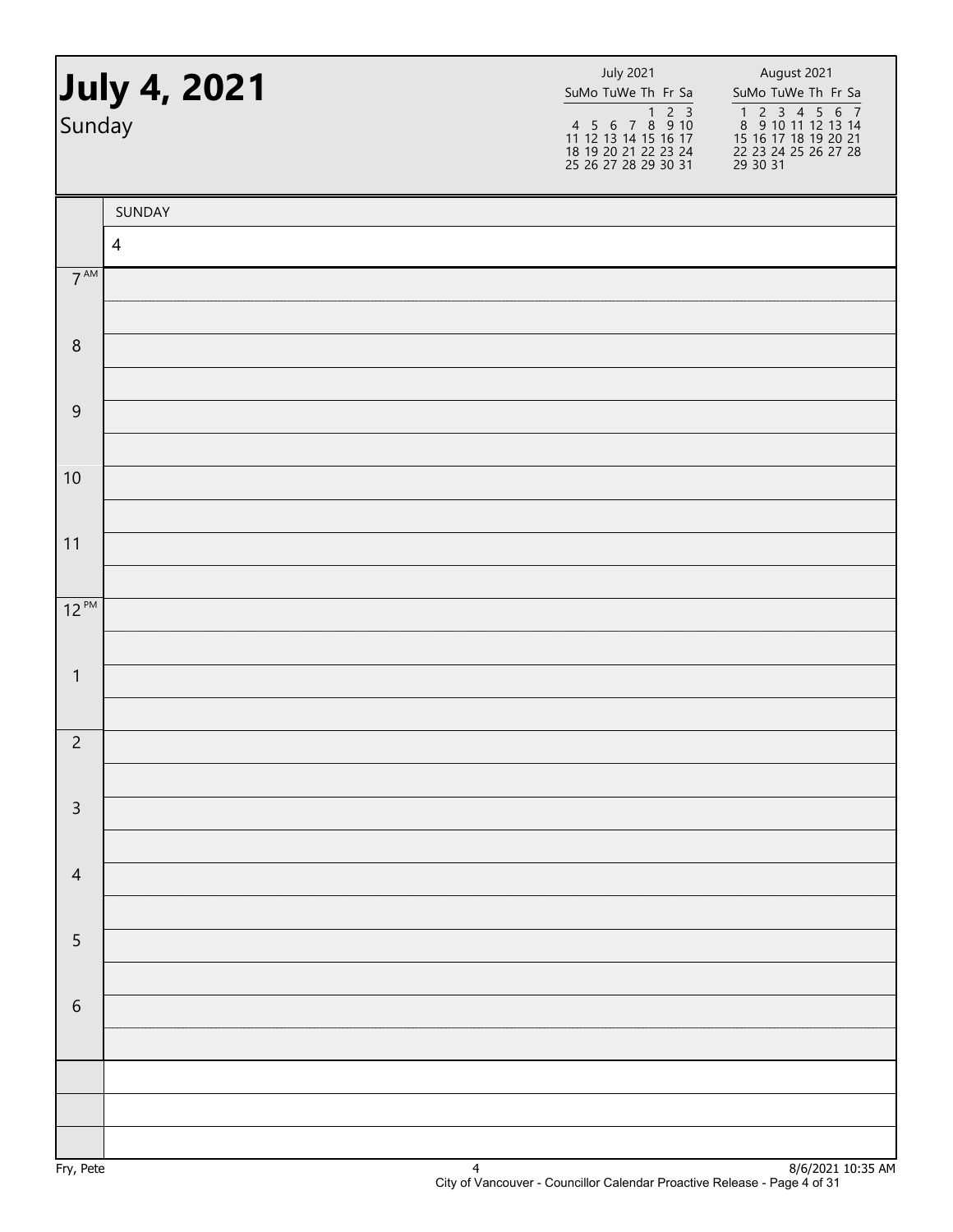| Sunday          | July 4, 2021   | <b>July 2021</b><br>SuMo TuWe Th Fr Sa | August 2021<br>SuMo TuWe Th Fr Sa<br>1 2 3 4 5 6 7<br>8 9 10 11 12 13 14<br>15 16 17 18 19 20 21<br>22 23 24 25 26 27 28<br>$\overline{29}$ $\overline{30}$ $\overline{31}$ |
|-----------------|----------------|----------------------------------------|-----------------------------------------------------------------------------------------------------------------------------------------------------------------------------|
|                 | SUNDAY         |                                        |                                                                                                                                                                             |
|                 | $\overline{4}$ |                                        |                                                                                                                                                                             |
| $7^{\text{AM}}$ |                |                                        |                                                                                                                                                                             |
| $\,8\,$         |                |                                        |                                                                                                                                                                             |
|                 |                |                                        |                                                                                                                                                                             |
| $\mathsf 9$     |                |                                        |                                                                                                                                                                             |
|                 |                |                                        |                                                                                                                                                                             |
| 10              |                |                                        |                                                                                                                                                                             |
| 11              |                |                                        |                                                                                                                                                                             |
|                 |                |                                        |                                                                                                                                                                             |
| $12^{PM}$       |                |                                        |                                                                                                                                                                             |
| $\mathbf{1}$    |                |                                        |                                                                                                                                                                             |
|                 |                |                                        |                                                                                                                                                                             |
| $\overline{c}$  |                |                                        |                                                                                                                                                                             |
|                 |                |                                        |                                                                                                                                                                             |
| $\mathsf 3$     |                |                                        |                                                                                                                                                                             |
| $\overline{4}$  |                |                                        |                                                                                                                                                                             |
|                 |                |                                        |                                                                                                                                                                             |
| $\sqrt{5}$      |                |                                        |                                                                                                                                                                             |
|                 |                |                                        |                                                                                                                                                                             |
| $\,$ 6 $\,$     |                |                                        |                                                                                                                                                                             |
|                 |                |                                        |                                                                                                                                                                             |
|                 |                |                                        |                                                                                                                                                                             |
|                 |                |                                        |                                                                                                                                                                             |
|                 |                |                                        |                                                                                                                                                                             |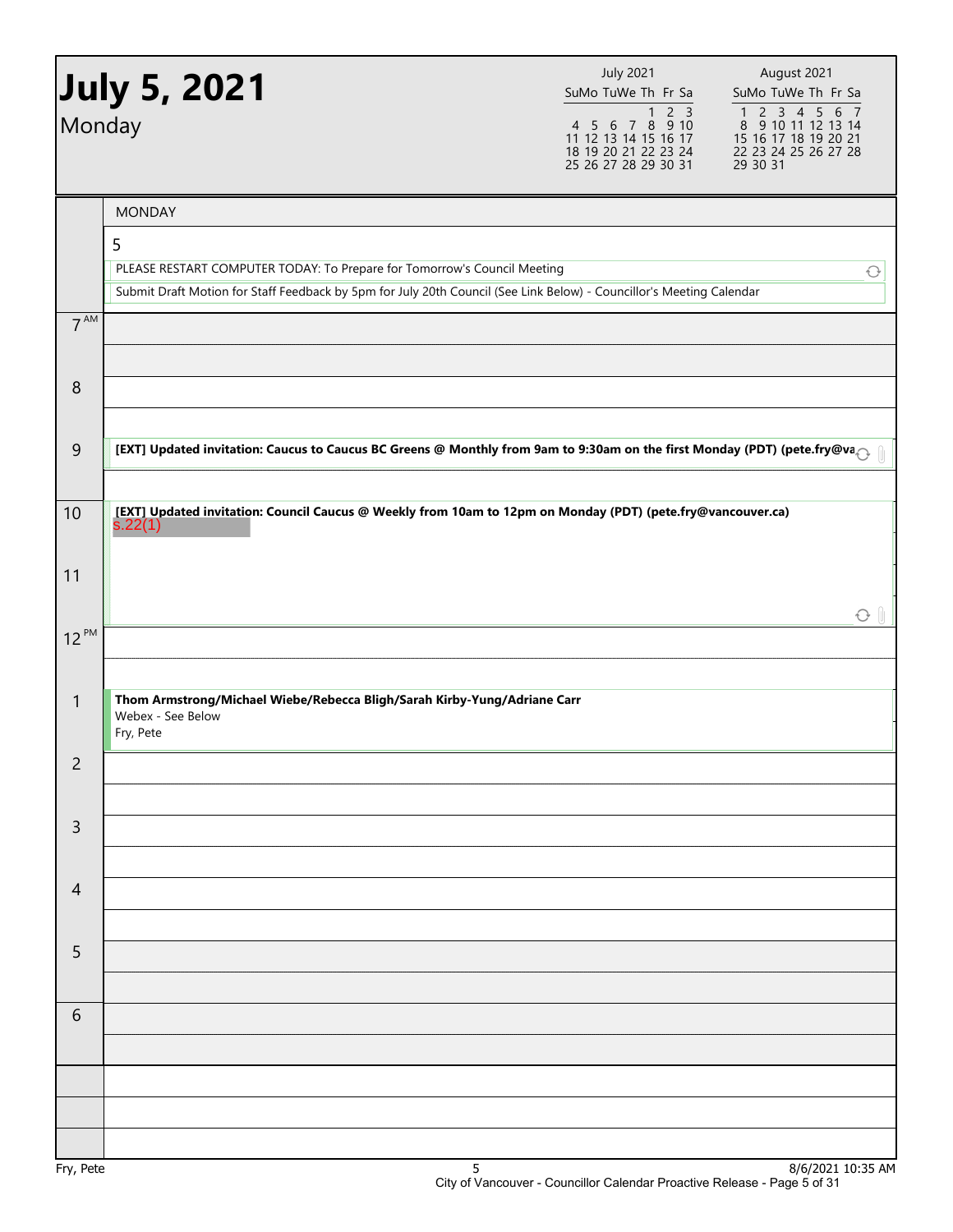|                 | <b>July 5, 2021</b>                                                                                                      | <b>July 2021</b><br>SuMo TuWe Th Fr Sa                                                                       | August 2021<br>SuMo TuWe Th Fr Sa                                                               |
|-----------------|--------------------------------------------------------------------------------------------------------------------------|--------------------------------------------------------------------------------------------------------------|-------------------------------------------------------------------------------------------------|
| Monday          |                                                                                                                          | $\overline{1}$ 2 3<br>4 5 6 7 8 9 10<br>11 12 13 14 15 16 17<br>18 19 20 21 22 23 24<br>25 26 27 28 29 30 31 | 1 2 3 4 5 6 7<br>8 9 10 11 12 13 14<br>15 16 17 18 19 20 21<br>22 23 24 25 26 27 28<br>29 30 31 |
|                 | <b>MONDAY</b>                                                                                                            |                                                                                                              |                                                                                                 |
|                 | 5                                                                                                                        |                                                                                                              |                                                                                                 |
|                 | PLEASE RESTART COMPUTER TODAY: To Prepare for Tomorrow's Council Meeting                                                 |                                                                                                              | ♦                                                                                               |
| 7 <sup>AM</sup> | Submit Draft Motion for Staff Feedback by 5pm for July 20th Council (See Link Below) - Councillor's Meeting Calendar     |                                                                                                              |                                                                                                 |
|                 |                                                                                                                          |                                                                                                              |                                                                                                 |
|                 |                                                                                                                          |                                                                                                              |                                                                                                 |
| 8               |                                                                                                                          |                                                                                                              |                                                                                                 |
|                 | [EXT] Updated invitation: Caucus to Caucus BC Greens @ Monthly from 9am to 9:30am on the first Monday (PDT) (pete.fry@va |                                                                                                              |                                                                                                 |
| 9               |                                                                                                                          |                                                                                                              |                                                                                                 |
| 10              | [EXT] Updated invitation: Council Caucus @ Weekly from 10am to 12pm on Monday (PDT) (pete.fry@vancouver.ca)              |                                                                                                              |                                                                                                 |
|                 | s.22(1)                                                                                                                  |                                                                                                              |                                                                                                 |
| 11              |                                                                                                                          |                                                                                                              |                                                                                                 |
|                 |                                                                                                                          |                                                                                                              |                                                                                                 |
| $12^{PM}$       |                                                                                                                          |                                                                                                              |                                                                                                 |
|                 |                                                                                                                          |                                                                                                              |                                                                                                 |
| $\mathbf{1}$    | Thom Armstrong/Michael Wiebe/Rebecca Bligh/Sarah Kirby-Yung/Adriane Carr                                                 |                                                                                                              |                                                                                                 |
|                 | Webex - See Below<br>Fry, Pete                                                                                           |                                                                                                              |                                                                                                 |
| $\overline{c}$  |                                                                                                                          |                                                                                                              |                                                                                                 |
|                 |                                                                                                                          |                                                                                                              |                                                                                                 |
| 3               |                                                                                                                          |                                                                                                              |                                                                                                 |
|                 |                                                                                                                          |                                                                                                              |                                                                                                 |
| $\overline{4}$  |                                                                                                                          |                                                                                                              |                                                                                                 |
|                 |                                                                                                                          |                                                                                                              |                                                                                                 |
| 5               |                                                                                                                          |                                                                                                              |                                                                                                 |
|                 |                                                                                                                          |                                                                                                              |                                                                                                 |
| 6               |                                                                                                                          |                                                                                                              |                                                                                                 |
|                 |                                                                                                                          |                                                                                                              |                                                                                                 |
|                 |                                                                                                                          |                                                                                                              |                                                                                                 |
|                 |                                                                                                                          |                                                                                                              |                                                                                                 |
|                 |                                                                                                                          |                                                                                                              |                                                                                                 |
| $EnI$ , $DoIc$  |                                                                                                                          |                                                                                                              | Q/Z/2021.10.2EAM                                                                                |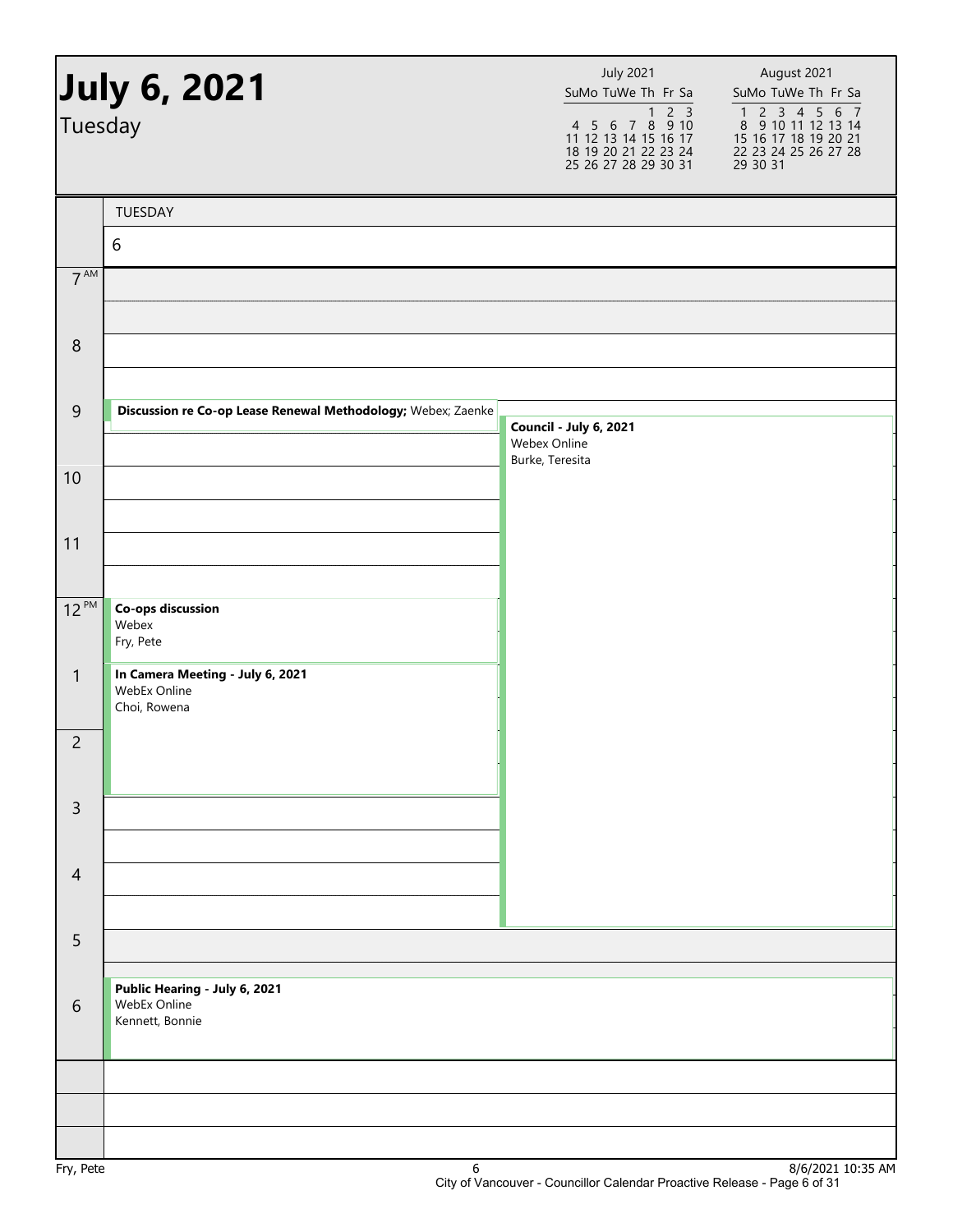| July 6, 2021<br>Tuesday |                                                                  | <b>July 2021</b><br>SuMo TuWe Th Fr Sa<br>4 5 6 7 8 9 10<br>11 12 13 14 15 16 17<br>18 19 20 21 22 23 24<br>25 26 27 28 29 30 31 | August 2021<br>SuMo TuWe Th Fr Sa<br>$\begin{array}{cccccc}\n1 & 2 & 3 & 4 & 5 & 6 & 7 \\ 8 & 9 & 10 & 11 & 12 & 13 & 14\n\end{array}$<br>15 16 17 18 19 20 21<br>22 23 24 25 26 27 28<br>29 30 31 |
|-------------------------|------------------------------------------------------------------|----------------------------------------------------------------------------------------------------------------------------------|----------------------------------------------------------------------------------------------------------------------------------------------------------------------------------------------------|
|                         | TUESDAY                                                          |                                                                                                                                  |                                                                                                                                                                                                    |
|                         | $6\,$                                                            |                                                                                                                                  |                                                                                                                                                                                                    |
| 7 <sup>AM</sup>         |                                                                  |                                                                                                                                  |                                                                                                                                                                                                    |
| $\,8\,$                 |                                                                  |                                                                                                                                  |                                                                                                                                                                                                    |
|                         |                                                                  |                                                                                                                                  |                                                                                                                                                                                                    |
| $\overline{9}$          | Discussion re Co-op Lease Renewal Methodology; Webex; Zaenke     | Council - July 6, 2021<br>Webex Online                                                                                           |                                                                                                                                                                                                    |
| 10                      |                                                                  | Burke, Teresita                                                                                                                  |                                                                                                                                                                                                    |
| 11                      |                                                                  |                                                                                                                                  |                                                                                                                                                                                                    |
| $12^{PM}$               | <b>Co-ops discussion</b><br>Webex<br>Fry, Pete                   |                                                                                                                                  |                                                                                                                                                                                                    |
| $\mathbf{1}$            | In Camera Meeting - July 6, 2021<br>WebEx Online<br>Choi, Rowena |                                                                                                                                  |                                                                                                                                                                                                    |
| $\overline{c}$          |                                                                  |                                                                                                                                  |                                                                                                                                                                                                    |
| $\overline{3}$          |                                                                  |                                                                                                                                  |                                                                                                                                                                                                    |
| $\overline{4}$          |                                                                  |                                                                                                                                  |                                                                                                                                                                                                    |
| 5                       |                                                                  |                                                                                                                                  |                                                                                                                                                                                                    |
| 6                       | Public Hearing - July 6, 2021<br>WebEx Online<br>Kennett, Bonnie |                                                                                                                                  |                                                                                                                                                                                                    |
|                         |                                                                  |                                                                                                                                  |                                                                                                                                                                                                    |
|                         |                                                                  |                                                                                                                                  |                                                                                                                                                                                                    |
|                         |                                                                  |                                                                                                                                  |                                                                                                                                                                                                    |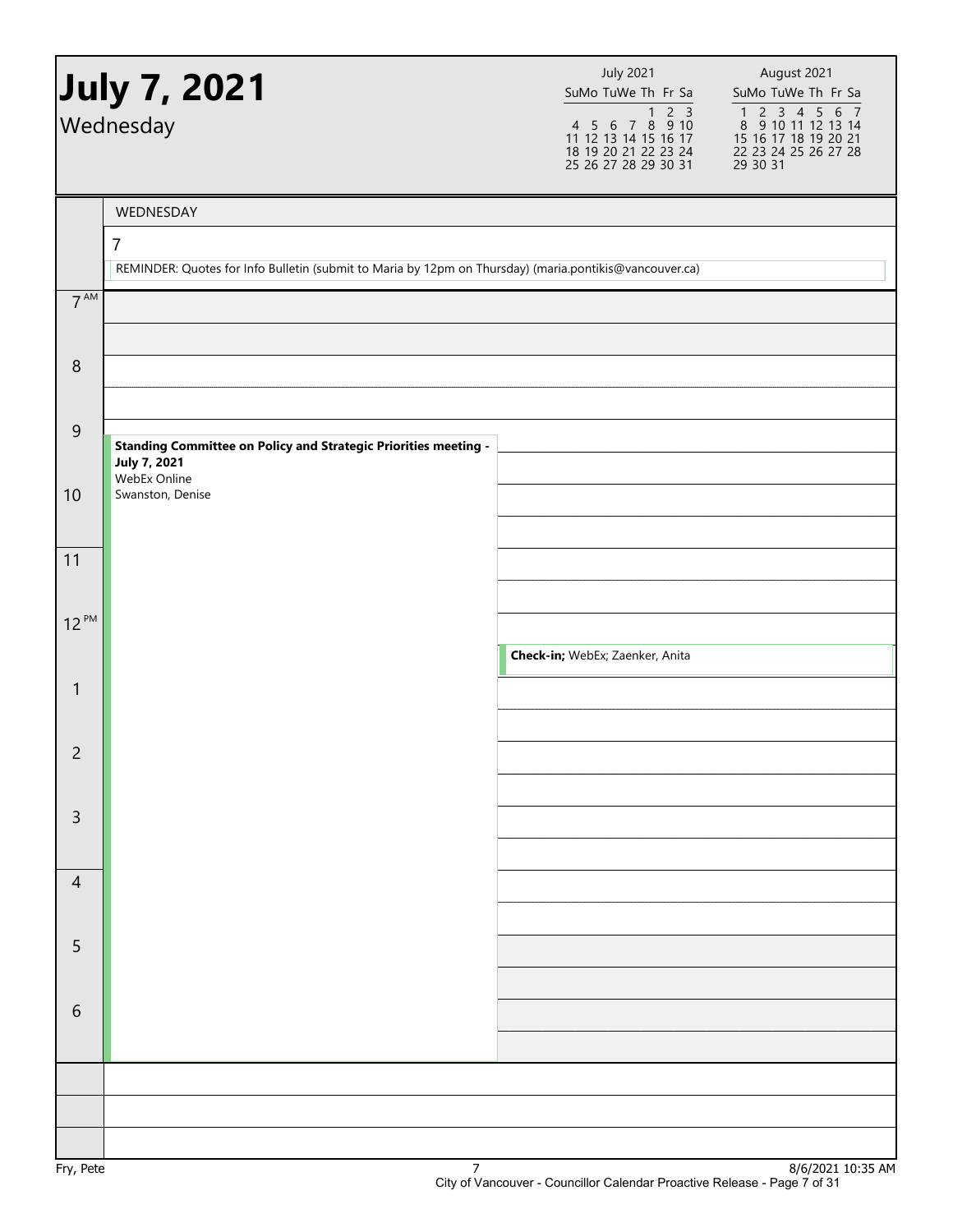|                  | July 7, 2021<br>Wednesday                                                                                     | <b>July 2021</b><br>SuMo TuWe Th Fr Sa<br>4 5 6 7 8 9 10<br>11 12 13 14 15 16 17<br>18 19 20 21 22 23 24<br>25 26 27 28 29 30 31 | August 2021<br>SuMo TuWe Th Fr Sa<br>$\begin{array}{cccccc}\n1 & 2 & 3 & 4 & 5 & 6 & 7 \\ 8 & 9 & 10 & 11 & 12 & 13 & 14\n\end{array}$<br>15 16 17 18 19 20 21<br>22 23 24 25 26 27 28<br>29 30 31 |
|------------------|---------------------------------------------------------------------------------------------------------------|----------------------------------------------------------------------------------------------------------------------------------|----------------------------------------------------------------------------------------------------------------------------------------------------------------------------------------------------|
|                  |                                                                                                               |                                                                                                                                  |                                                                                                                                                                                                    |
|                  | WEDNESDAY<br>$\overline{7}$                                                                                   |                                                                                                                                  |                                                                                                                                                                                                    |
|                  | REMINDER: Quotes for Info Bulletin (submit to Maria by 12pm on Thursday) (maria.pontikis@vancouver.ca)        |                                                                                                                                  |                                                                                                                                                                                                    |
| 7 <sup>AM</sup>  |                                                                                                               |                                                                                                                                  |                                                                                                                                                                                                    |
| $\boldsymbol{8}$ |                                                                                                               |                                                                                                                                  |                                                                                                                                                                                                    |
| 9                | <b>Standing Committee on Policy and Strategic Priorities meeting -</b><br><b>July 7, 2021</b><br>WebEx Online |                                                                                                                                  |                                                                                                                                                                                                    |
| 10               | Swanston, Denise                                                                                              |                                                                                                                                  |                                                                                                                                                                                                    |
| 11               |                                                                                                               |                                                                                                                                  |                                                                                                                                                                                                    |
| $12^{PM}$        |                                                                                                               |                                                                                                                                  |                                                                                                                                                                                                    |
|                  |                                                                                                               | Check-in; WebEx; Zaenker, Anita                                                                                                  |                                                                                                                                                                                                    |
| $\mathbf{1}$     |                                                                                                               |                                                                                                                                  |                                                                                                                                                                                                    |
| $\overline{c}$   |                                                                                                               |                                                                                                                                  |                                                                                                                                                                                                    |
| $\mathsf{3}$     |                                                                                                               |                                                                                                                                  |                                                                                                                                                                                                    |
|                  |                                                                                                               |                                                                                                                                  |                                                                                                                                                                                                    |
| $\overline{4}$   |                                                                                                               |                                                                                                                                  |                                                                                                                                                                                                    |
| 5                |                                                                                                               |                                                                                                                                  |                                                                                                                                                                                                    |
|                  |                                                                                                               |                                                                                                                                  |                                                                                                                                                                                                    |
| 6                |                                                                                                               |                                                                                                                                  |                                                                                                                                                                                                    |
|                  |                                                                                                               |                                                                                                                                  |                                                                                                                                                                                                    |
|                  |                                                                                                               |                                                                                                                                  |                                                                                                                                                                                                    |
|                  |                                                                                                               |                                                                                                                                  | $0/0/2021$ 10.25 AM                                                                                                                                                                                |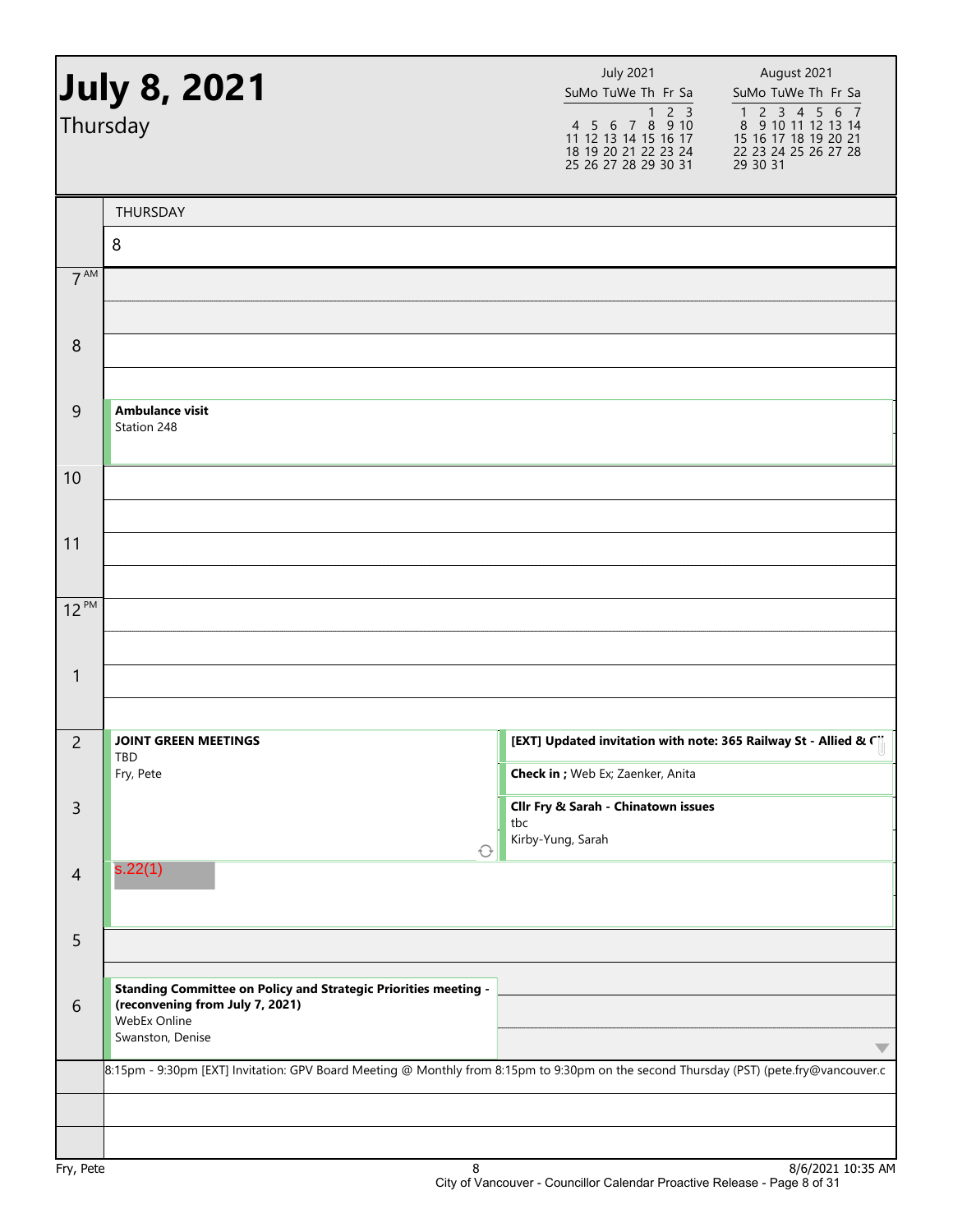|                 | <b>July 8, 2021</b><br>Thursday                                                                                                        |                   | <b>July 2021</b><br>SuMo TuWe Th Fr Sa<br>2 <sup>3</sup><br>1<br>$4$ 5 6 7 8 9 10<br>11 12 13 14 15 16 17<br>18 19 20 21 22 23 24<br>25 26 27 28 29 30 31 | August 2021<br>SuMo TuWe Th Fr Sa<br>$\begin{array}{cccccc}\n1 & 2 & 3 & 4 & 5 & 6 & 7 \\ 8 & 9 & 10 & 11 & 12 & 13 & 14\n\end{array}$<br>15 16 17 18 19 20 21<br>22 23 24 25 26 27 28<br>29 30 31 |
|-----------------|----------------------------------------------------------------------------------------------------------------------------------------|-------------------|-----------------------------------------------------------------------------------------------------------------------------------------------------------|----------------------------------------------------------------------------------------------------------------------------------------------------------------------------------------------------|
|                 | THURSDAY                                                                                                                               |                   |                                                                                                                                                           |                                                                                                                                                                                                    |
|                 | 8                                                                                                                                      |                   |                                                                                                                                                           |                                                                                                                                                                                                    |
| 7 <sup>AM</sup> |                                                                                                                                        |                   |                                                                                                                                                           |                                                                                                                                                                                                    |
|                 |                                                                                                                                        |                   |                                                                                                                                                           |                                                                                                                                                                                                    |
| 8               |                                                                                                                                        |                   |                                                                                                                                                           |                                                                                                                                                                                                    |
|                 |                                                                                                                                        |                   |                                                                                                                                                           |                                                                                                                                                                                                    |
| 9               | <b>Ambulance visit</b><br>Station 248                                                                                                  |                   |                                                                                                                                                           |                                                                                                                                                                                                    |
| 10              |                                                                                                                                        |                   |                                                                                                                                                           |                                                                                                                                                                                                    |
|                 |                                                                                                                                        |                   |                                                                                                                                                           |                                                                                                                                                                                                    |
| 11              |                                                                                                                                        |                   |                                                                                                                                                           |                                                                                                                                                                                                    |
|                 |                                                                                                                                        |                   |                                                                                                                                                           |                                                                                                                                                                                                    |
| $12^{PM}$       |                                                                                                                                        |                   |                                                                                                                                                           |                                                                                                                                                                                                    |
|                 |                                                                                                                                        |                   |                                                                                                                                                           |                                                                                                                                                                                                    |
| 1               |                                                                                                                                        |                   |                                                                                                                                                           |                                                                                                                                                                                                    |
|                 |                                                                                                                                        |                   |                                                                                                                                                           |                                                                                                                                                                                                    |
| $\overline{2}$  | <b>JOINT GREEN MEETINGS</b>                                                                                                            |                   |                                                                                                                                                           | [EXT] Updated invitation with note: 365 Railway St - Allied & Ci                                                                                                                                   |
|                 | TBD<br>Fry, Pete                                                                                                                       |                   | Check in ; Web Ex; Zaenker, Anita                                                                                                                         |                                                                                                                                                                                                    |
| $\mathsf{3}$    |                                                                                                                                        |                   | Cllr Fry & Sarah - Chinatown issues                                                                                                                       |                                                                                                                                                                                                    |
|                 |                                                                                                                                        | tbc<br>$\bigcirc$ | Kirby-Yung, Sarah                                                                                                                                         |                                                                                                                                                                                                    |
| $\overline{4}$  | s.22(1)                                                                                                                                |                   |                                                                                                                                                           |                                                                                                                                                                                                    |
| 5               |                                                                                                                                        |                   |                                                                                                                                                           |                                                                                                                                                                                                    |
|                 | <b>Standing Committee on Policy and Strategic Priorities meeting -</b>                                                                 |                   |                                                                                                                                                           |                                                                                                                                                                                                    |
| 6               | (reconvening from July 7, 2021)<br>WebEx Online                                                                                        |                   |                                                                                                                                                           |                                                                                                                                                                                                    |
|                 | Swanston, Denise                                                                                                                       |                   |                                                                                                                                                           | $\overline{\phantom{a}}$                                                                                                                                                                           |
|                 | 8:15pm - 9:30pm [EXT] Invitation: GPV Board Meeting @ Monthly from 8:15pm to 9:30pm on the second Thursday (PST) (pete.fry@vancouver.c |                   |                                                                                                                                                           |                                                                                                                                                                                                    |
|                 |                                                                                                                                        |                   |                                                                                                                                                           |                                                                                                                                                                                                    |
|                 |                                                                                                                                        |                   |                                                                                                                                                           |                                                                                                                                                                                                    |
| Fry, Pete       |                                                                                                                                        | 8                 |                                                                                                                                                           | 8/6/2021 10:35 AM                                                                                                                                                                                  |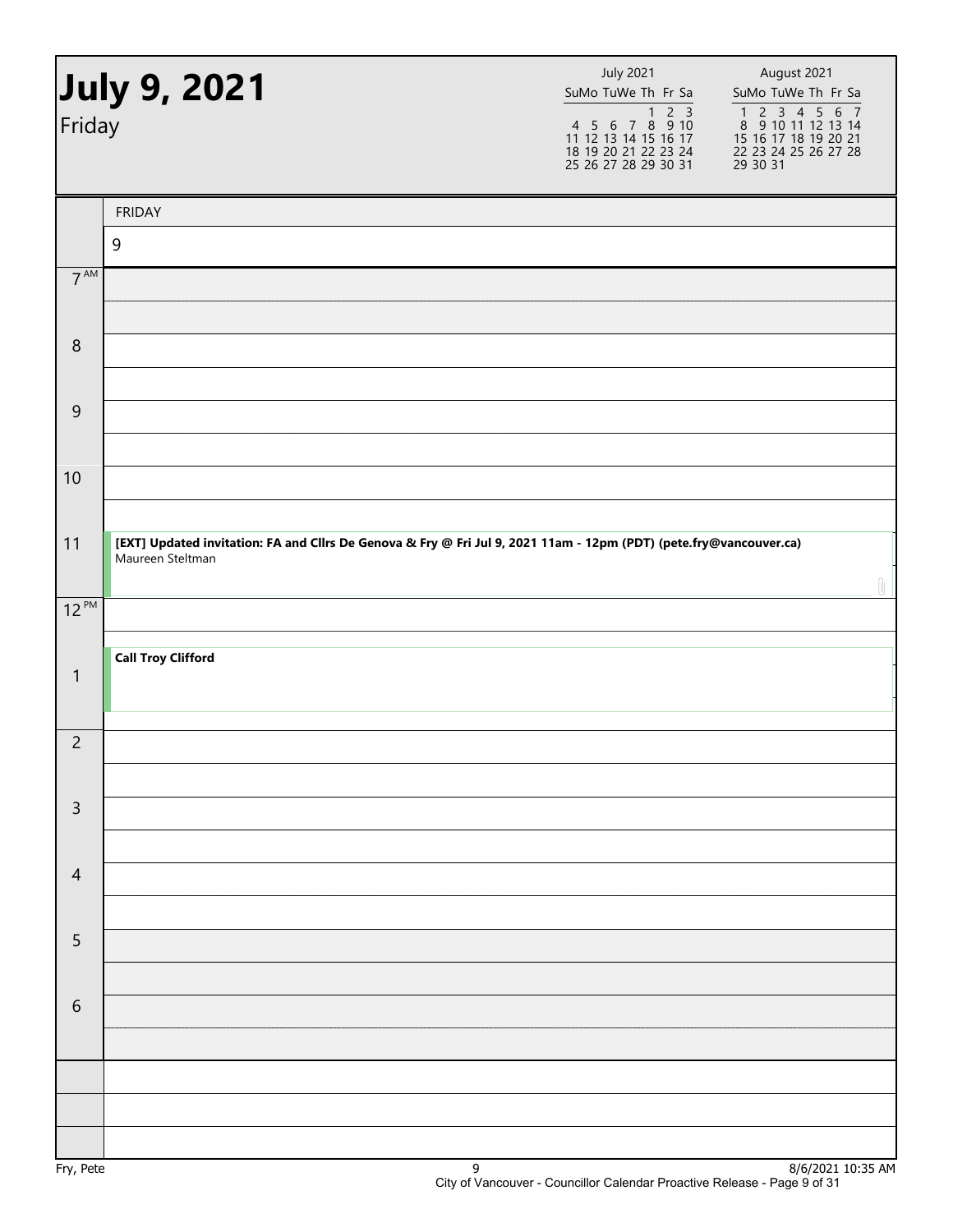| July 9, 2021<br>Friday |                                                                                                                                        | <b>July 2021</b><br>SuMo TuWe Th Fr Sa<br>1 2 3<br>4 5 6 7 8 9 10<br>11 12 13 14 15 16 17<br>18 19 20 21 22 23 24<br>25 26 27 28 29 30 31 | August 2021<br>SuMo TuWe Th Fr Sa<br>$\begin{array}{cccccc}\n1 & 2 & 3 & 4 & 5 & 6 & 7 \\ 8 & 9 & 10 & 11 & 12 & 13 & 14\n\end{array}$<br>15 16 17 18 19 20 21<br>22 23 24 25 26 27 28<br>29 30 31 |  |
|------------------------|----------------------------------------------------------------------------------------------------------------------------------------|-------------------------------------------------------------------------------------------------------------------------------------------|----------------------------------------------------------------------------------------------------------------------------------------------------------------------------------------------------|--|
|                        | <b>FRIDAY</b>                                                                                                                          |                                                                                                                                           |                                                                                                                                                                                                    |  |
|                        | $\overline{9}$                                                                                                                         |                                                                                                                                           |                                                                                                                                                                                                    |  |
| 7 <sup>AM</sup>        |                                                                                                                                        |                                                                                                                                           |                                                                                                                                                                                                    |  |
| $\,8\,$                |                                                                                                                                        |                                                                                                                                           |                                                                                                                                                                                                    |  |
| $9\,$                  |                                                                                                                                        |                                                                                                                                           |                                                                                                                                                                                                    |  |
| 10                     |                                                                                                                                        |                                                                                                                                           |                                                                                                                                                                                                    |  |
| 11                     | [EXT] Updated invitation: FA and Cllrs De Genova & Fry @ Fri Jul 9, 2021 11am - 12pm (PDT) (pete.fry@vancouver.ca)<br>Maureen Steltman |                                                                                                                                           |                                                                                                                                                                                                    |  |
| $12^{PM}$              |                                                                                                                                        |                                                                                                                                           |                                                                                                                                                                                                    |  |
| $\mathbf{1}$           | <b>Call Troy Clifford</b>                                                                                                              |                                                                                                                                           |                                                                                                                                                                                                    |  |
| $\overline{c}$         |                                                                                                                                        |                                                                                                                                           |                                                                                                                                                                                                    |  |
| $\mathsf{3}$           |                                                                                                                                        |                                                                                                                                           |                                                                                                                                                                                                    |  |
| $\overline{4}$         |                                                                                                                                        |                                                                                                                                           |                                                                                                                                                                                                    |  |
| 5                      |                                                                                                                                        |                                                                                                                                           |                                                                                                                                                                                                    |  |
| $\sqrt{6}$             |                                                                                                                                        |                                                                                                                                           |                                                                                                                                                                                                    |  |
|                        |                                                                                                                                        |                                                                                                                                           |                                                                                                                                                                                                    |  |
|                        |                                                                                                                                        |                                                                                                                                           |                                                                                                                                                                                                    |  |
|                        |                                                                                                                                        |                                                                                                                                           | 0/c/20213022R                                                                                                                                                                                      |  |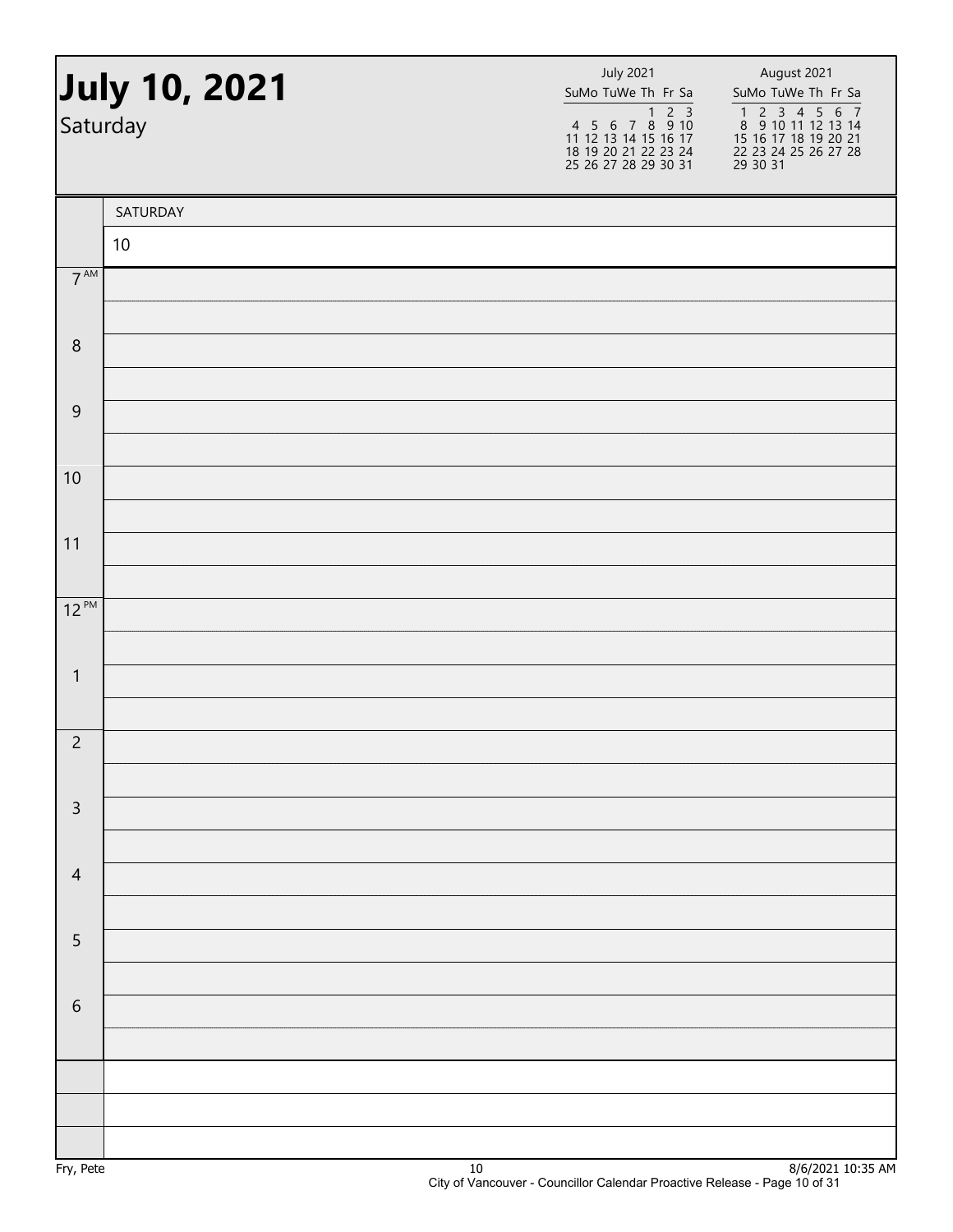|                 | July 10, 2021<br>Saturday | <b>July 2021</b><br>SuMo TuWe Th Fr Sa | August 2021<br>SuMo TuWe Th Fr Sa<br>1 2 3 4 5 6 7<br>8 9 10 11 12 13 14<br>15 16 17 18 19 20 21<br>22 23 24 25 26 27 28<br>29 30 31 |
|-----------------|---------------------------|----------------------------------------|--------------------------------------------------------------------------------------------------------------------------------------|
|                 | SATURDAY                  |                                        |                                                                                                                                      |
|                 | 10                        |                                        |                                                                                                                                      |
| $7^{\text{AM}}$ |                           |                                        |                                                                                                                                      |
|                 |                           |                                        |                                                                                                                                      |
| $\,8\,$         |                           |                                        |                                                                                                                                      |
| $\overline{9}$  |                           |                                        |                                                                                                                                      |
|                 |                           |                                        |                                                                                                                                      |
| 10              |                           |                                        |                                                                                                                                      |
| 11              |                           |                                        |                                                                                                                                      |
|                 |                           |                                        |                                                                                                                                      |
| $12^{PM}$       |                           |                                        |                                                                                                                                      |
|                 |                           |                                        |                                                                                                                                      |
| $\mathbf{1}$    |                           |                                        |                                                                                                                                      |
| $\overline{c}$  |                           |                                        |                                                                                                                                      |
|                 |                           |                                        |                                                                                                                                      |
| $\mathsf{3}$    |                           |                                        |                                                                                                                                      |
|                 |                           |                                        |                                                                                                                                      |
| $\overline{4}$  |                           |                                        |                                                                                                                                      |
| 5               |                           |                                        |                                                                                                                                      |
|                 |                           |                                        |                                                                                                                                      |
| $\sqrt{6}$      |                           |                                        |                                                                                                                                      |
|                 |                           |                                        |                                                                                                                                      |
|                 |                           |                                        |                                                                                                                                      |
|                 |                           |                                        |                                                                                                                                      |
|                 |                           |                                        |                                                                                                                                      |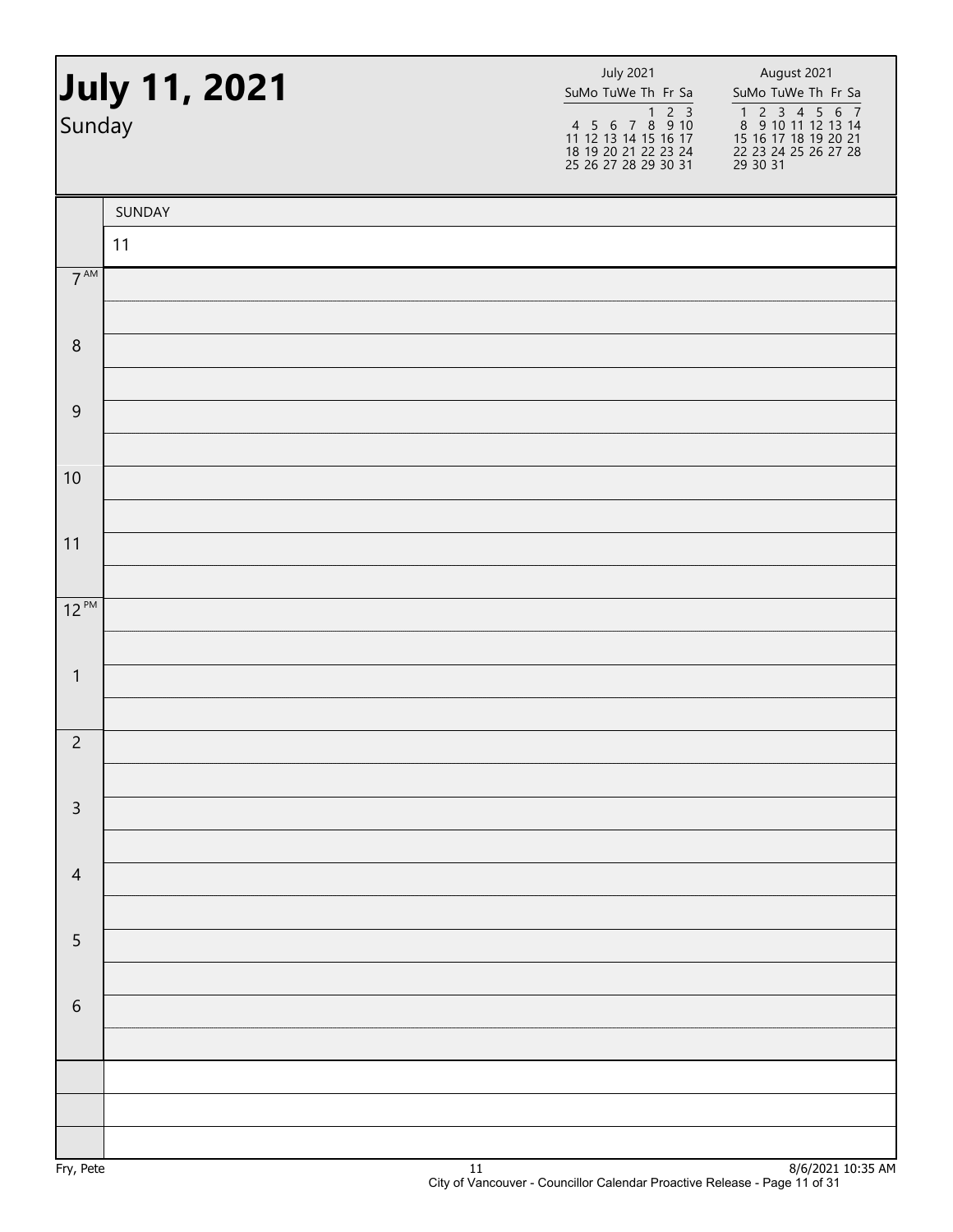| Sunday           | July 11, 2021 | <b>July 2021</b><br>SuMo TuWe Th Fr Sa | August 2021<br>SuMo TuWe Th Fr Sa<br>1 2 3 4 5 6 7<br>8 9 10 11 12 13 14<br>15 16 17 18 19 20 21<br>22 23 24 25 26 27 28<br>29 30 31 |
|------------------|---------------|----------------------------------------|--------------------------------------------------------------------------------------------------------------------------------------|
|                  | SUNDAY        |                                        |                                                                                                                                      |
|                  | 11            |                                        |                                                                                                                                      |
| $7^{\text{AM}}$  |               |                                        |                                                                                                                                      |
| $\boldsymbol{8}$ |               |                                        |                                                                                                                                      |
|                  |               |                                        |                                                                                                                                      |
| $\overline{9}$   |               |                                        |                                                                                                                                      |
|                  |               |                                        |                                                                                                                                      |
| 10               |               |                                        |                                                                                                                                      |
| 11               |               |                                        |                                                                                                                                      |
|                  |               |                                        |                                                                                                                                      |
| $12^{PM}$        |               |                                        |                                                                                                                                      |
|                  |               |                                        |                                                                                                                                      |
| $\mathbf{1}$     |               |                                        |                                                                                                                                      |
|                  |               |                                        |                                                                                                                                      |
| $\overline{c}$   |               |                                        |                                                                                                                                      |
| $\mathsf{3}$     |               |                                        |                                                                                                                                      |
|                  |               |                                        |                                                                                                                                      |
| $\overline{4}$   |               |                                        |                                                                                                                                      |
|                  |               |                                        |                                                                                                                                      |
| $\sqrt{5}$       |               |                                        |                                                                                                                                      |
|                  |               |                                        |                                                                                                                                      |
| $\sqrt{6}$       |               |                                        |                                                                                                                                      |
|                  |               |                                        |                                                                                                                                      |
|                  |               |                                        |                                                                                                                                      |
|                  |               |                                        |                                                                                                                                      |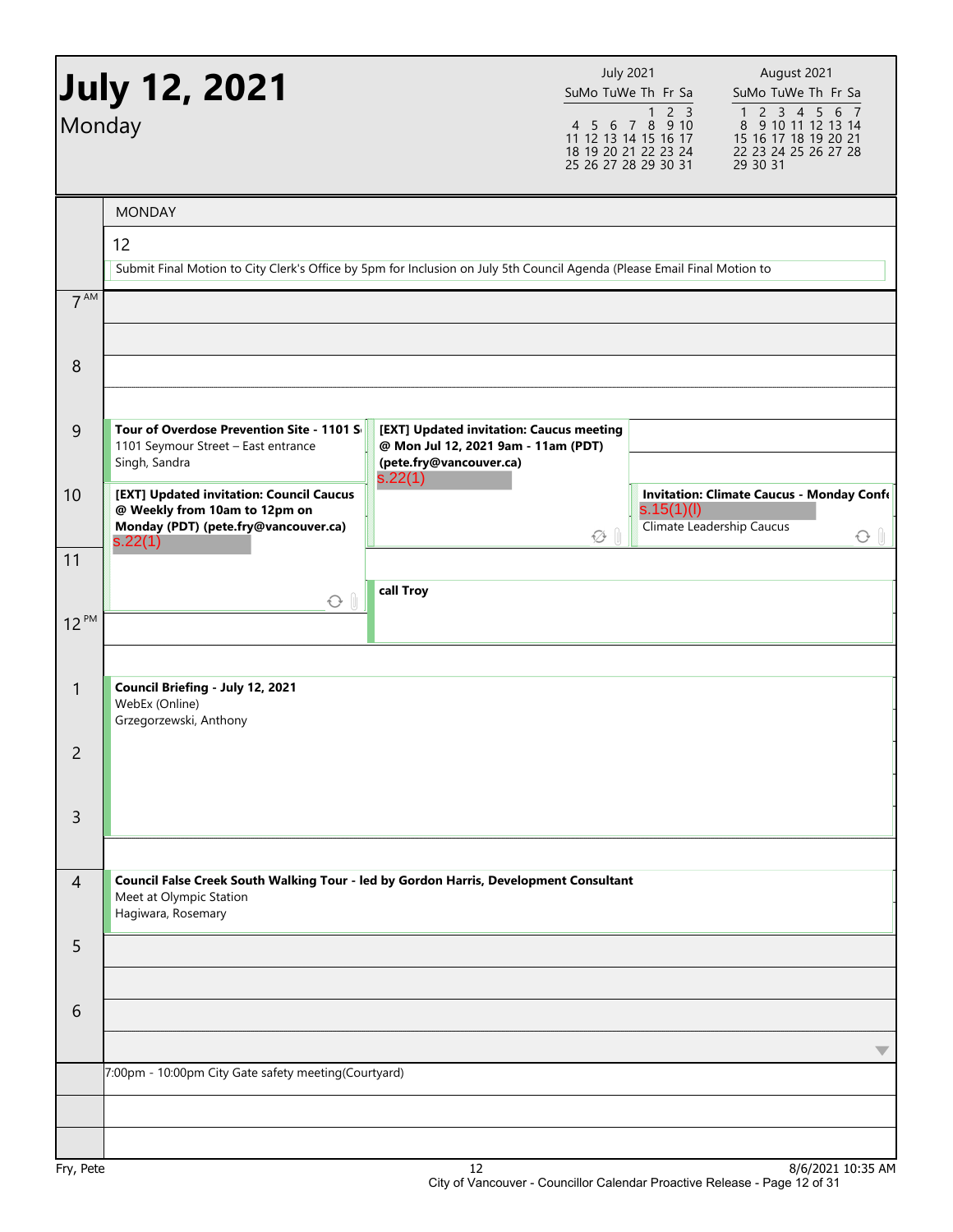| Monday          | <b>July 12, 2021</b>                                                                                                                   |                                                                                                            | <b>July 2021</b><br>SuMo TuWe Th Fr Sa<br>$1 2 3$<br>4 5 6 7 8 9 10<br>11 12 13 14 15 16 17<br>18 19 20 21 22 23 24<br>25 26 27 28 29 30 31 | August 2021<br>SuMo TuWe Th Fr Sa<br>1 2 3 4 5 6 7<br>8 9 10 11 12 13 14<br>15 16 17 18 19 20 21<br>22 23 24 25 26 27 28<br>29 30 31 |
|-----------------|----------------------------------------------------------------------------------------------------------------------------------------|------------------------------------------------------------------------------------------------------------|---------------------------------------------------------------------------------------------------------------------------------------------|--------------------------------------------------------------------------------------------------------------------------------------|
|                 |                                                                                                                                        |                                                                                                            |                                                                                                                                             |                                                                                                                                      |
|                 | <b>MONDAY</b><br>12                                                                                                                    |                                                                                                            |                                                                                                                                             |                                                                                                                                      |
|                 | Submit Final Motion to City Clerk's Office by 5pm for Inclusion on July 5th Council Agenda (Please Email Final Motion to               |                                                                                                            |                                                                                                                                             |                                                                                                                                      |
| 7 <sup>AM</sup> |                                                                                                                                        |                                                                                                            |                                                                                                                                             |                                                                                                                                      |
|                 |                                                                                                                                        |                                                                                                            |                                                                                                                                             |                                                                                                                                      |
| 8               |                                                                                                                                        |                                                                                                            |                                                                                                                                             |                                                                                                                                      |
| $\overline{9}$  | Tour of Overdose Prevention Site - 1101 S<br>1101 Seymour Street - East entrance<br>Singh, Sandra                                      | [EXT] Updated invitation: Caucus meeting<br>@ Mon Jul 12, 2021 9am - 11am (PDT)<br>(pete.fry@vancouver.ca) |                                                                                                                                             |                                                                                                                                      |
| 10              | [EXT] Updated invitation: Council Caucus<br>@ Weekly from 10am to 12pm on<br>Monday (PDT) (pete.fry@vancouver.ca)<br>s.22(1)           | s.22(1)                                                                                                    | s.15(1)(I)<br>۞                                                                                                                             | <b>Invitation: Climate Caucus - Monday Confe</b><br>Climate Leadership Caucus<br>$\odot$ $\parallel$                                 |
| 11              | O <sub>0</sub>                                                                                                                         | call Troy                                                                                                  |                                                                                                                                             |                                                                                                                                      |
| $12^{PM}$       |                                                                                                                                        |                                                                                                            |                                                                                                                                             |                                                                                                                                      |
| 1               | Council Briefing - July 12, 2021<br>WebEx (Online)<br>Grzegorzewski, Anthony                                                           |                                                                                                            |                                                                                                                                             |                                                                                                                                      |
| 2               |                                                                                                                                        |                                                                                                            |                                                                                                                                             |                                                                                                                                      |
| 3               |                                                                                                                                        |                                                                                                            |                                                                                                                                             |                                                                                                                                      |
| $\overline{4}$  | Council False Creek South Walking Tour - led by Gordon Harris, Development Consultant<br>Meet at Olympic Station<br>Hagiwara, Rosemary |                                                                                                            |                                                                                                                                             |                                                                                                                                      |
| 5               |                                                                                                                                        |                                                                                                            |                                                                                                                                             |                                                                                                                                      |
|                 |                                                                                                                                        |                                                                                                            |                                                                                                                                             |                                                                                                                                      |
| 6               |                                                                                                                                        |                                                                                                            |                                                                                                                                             |                                                                                                                                      |
|                 | 7:00pm - 10:00pm City Gate safety meeting(Courtyard)                                                                                   |                                                                                                            |                                                                                                                                             |                                                                                                                                      |
|                 |                                                                                                                                        |                                                                                                            |                                                                                                                                             |                                                                                                                                      |
|                 |                                                                                                                                        |                                                                                                            |                                                                                                                                             |                                                                                                                                      |
| Fry, Pete       |                                                                                                                                        | 12                                                                                                         |                                                                                                                                             | 8/6/2021 10:35 AM                                                                                                                    |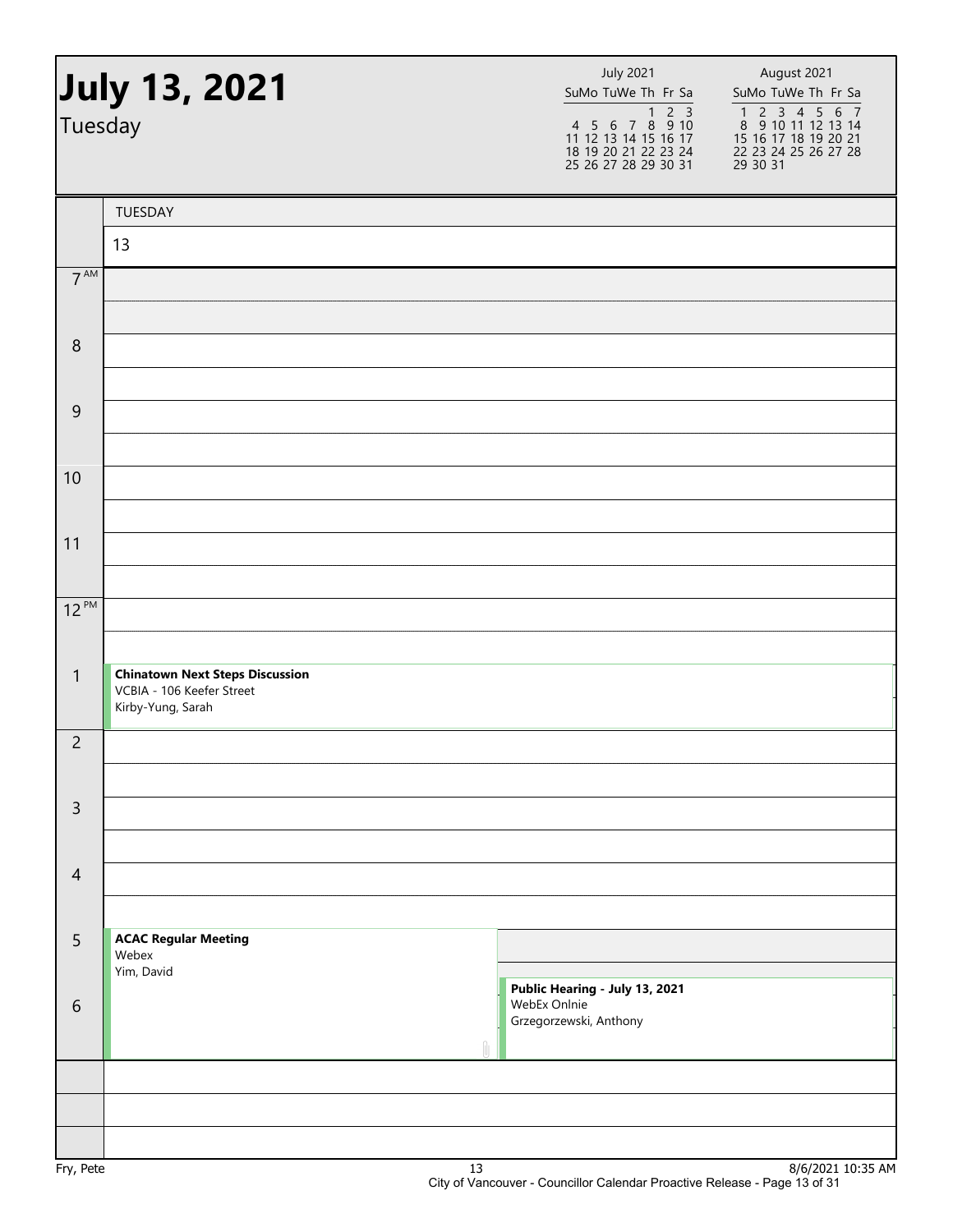| July 13, 2021<br>Tuesday |                                                                                          |    | <b>July 2021</b><br>SuMo TuWe Th Fr Sa<br>1 2 3<br>4 5 6 7 8 9 10<br>11 12 13 14 15 16 17<br>18 19 20 21 22 23 24<br>25 26 27 28 29 30 31 | August 2021<br>SuMo TuWe Th Fr Sa<br>1 2 3 4 5 6 7<br>8 9 10 11 12 13 14<br>15 16 17 18 19 20 21<br>22 23 24 25 26 27 28<br>29 30 31 |  |
|--------------------------|------------------------------------------------------------------------------------------|----|-------------------------------------------------------------------------------------------------------------------------------------------|--------------------------------------------------------------------------------------------------------------------------------------|--|
|                          | TUESDAY                                                                                  |    |                                                                                                                                           |                                                                                                                                      |  |
|                          | 13                                                                                       |    |                                                                                                                                           |                                                                                                                                      |  |
| 7 <sup>AM</sup>          |                                                                                          |    |                                                                                                                                           |                                                                                                                                      |  |
|                          |                                                                                          |    |                                                                                                                                           |                                                                                                                                      |  |
| $\,8\,$                  |                                                                                          |    |                                                                                                                                           |                                                                                                                                      |  |
| $\overline{9}$           |                                                                                          |    |                                                                                                                                           |                                                                                                                                      |  |
|                          |                                                                                          |    |                                                                                                                                           |                                                                                                                                      |  |
| 10                       |                                                                                          |    |                                                                                                                                           |                                                                                                                                      |  |
|                          |                                                                                          |    |                                                                                                                                           |                                                                                                                                      |  |
| 11                       |                                                                                          |    |                                                                                                                                           |                                                                                                                                      |  |
|                          |                                                                                          |    |                                                                                                                                           |                                                                                                                                      |  |
| $12^{PM}$                |                                                                                          |    |                                                                                                                                           |                                                                                                                                      |  |
| $\mathbf{1}$             | <b>Chinatown Next Steps Discussion</b><br>VCBIA - 106 Keefer Street<br>Kirby-Yung, Sarah |    |                                                                                                                                           |                                                                                                                                      |  |
| $\overline{c}$           |                                                                                          |    |                                                                                                                                           |                                                                                                                                      |  |
| $\mathsf{3}$             |                                                                                          |    |                                                                                                                                           |                                                                                                                                      |  |
| $\overline{4}$           |                                                                                          |    |                                                                                                                                           |                                                                                                                                      |  |
| 5                        | <b>ACAC Regular Meeting</b><br>Webex<br>Yim, David                                       |    |                                                                                                                                           |                                                                                                                                      |  |
| $6\,$                    |                                                                                          |    | Public Hearing - July 13, 2021<br>WebEx Onlnie<br>Grzegorzewski, Anthony                                                                  |                                                                                                                                      |  |
|                          |                                                                                          |    |                                                                                                                                           |                                                                                                                                      |  |
|                          |                                                                                          |    |                                                                                                                                           |                                                                                                                                      |  |
| $E_{m1}$ , $D_{n+n}$     |                                                                                          | 12 |                                                                                                                                           | Q/C/DQ2110.2EAN                                                                                                                      |  |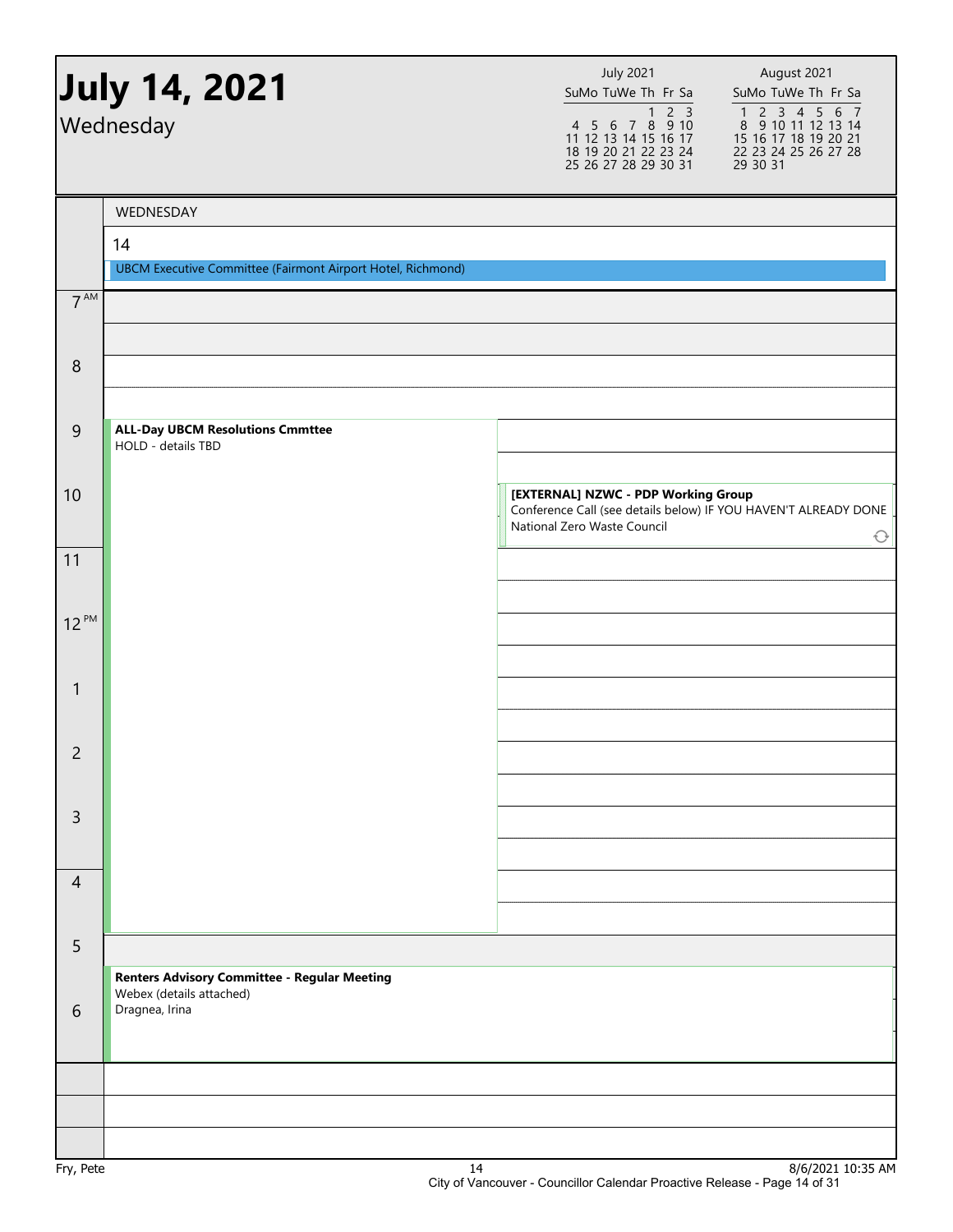|                 | July 14, 2021 <b>)</b><br>Wednesday                               | <b>July 2021</b><br>SuMo TuWe Th Fr Sa<br>4 5 6 7 8 9 10<br>11 12 13 14 15 16 17<br>18 19 20 21 22 23 24<br>25 26 27 28 29 30 31      | August 2021<br>SuMo TuWe Th Fr Sa<br>$\begin{array}{cccccc}\n1 & 2 & 3 & 4 & 5 & 6 & 7 \\ 8 & 9 & 10 & 11 & 12 & 13 & 14\n\end{array}$<br>15 16 17 18 19 20 21<br>22 23 24 25 26 27 28<br>29 30 31 |
|-----------------|-------------------------------------------------------------------|---------------------------------------------------------------------------------------------------------------------------------------|----------------------------------------------------------------------------------------------------------------------------------------------------------------------------------------------------|
|                 | WEDNESDAY                                                         |                                                                                                                                       |                                                                                                                                                                                                    |
|                 | 14<br>UBCM Executive Committee (Fairmont Airport Hotel, Richmond) |                                                                                                                                       |                                                                                                                                                                                                    |
| 7 <sup>AM</sup> |                                                                   |                                                                                                                                       |                                                                                                                                                                                                    |
|                 |                                                                   |                                                                                                                                       |                                                                                                                                                                                                    |
| 8               |                                                                   |                                                                                                                                       |                                                                                                                                                                                                    |
| $\overline{9}$  | <b>ALL-Day UBCM Resolutions Cmmttee</b><br>HOLD - details TBD     |                                                                                                                                       |                                                                                                                                                                                                    |
| 10              |                                                                   | [EXTERNAL] NZWC - PDP Working Group<br>Conference Call (see details below) IF YOU HAVEN'T ALREADY DONE<br>National Zero Waste Council | $\bigcirc$                                                                                                                                                                                         |
| 11              |                                                                   |                                                                                                                                       |                                                                                                                                                                                                    |
| $12^{PM}$       |                                                                   |                                                                                                                                       |                                                                                                                                                                                                    |
|                 |                                                                   |                                                                                                                                       |                                                                                                                                                                                                    |
| $\mathbf{1}$    |                                                                   |                                                                                                                                       |                                                                                                                                                                                                    |
|                 |                                                                   |                                                                                                                                       |                                                                                                                                                                                                    |
| $\overline{c}$  |                                                                   |                                                                                                                                       |                                                                                                                                                                                                    |
| $\overline{3}$  |                                                                   |                                                                                                                                       |                                                                                                                                                                                                    |
|                 |                                                                   |                                                                                                                                       |                                                                                                                                                                                                    |
| $\overline{4}$  |                                                                   |                                                                                                                                       |                                                                                                                                                                                                    |
| 5               |                                                                   |                                                                                                                                       |                                                                                                                                                                                                    |
|                 | <b>Renters Advisory Committee - Regular Meeting</b>               |                                                                                                                                       |                                                                                                                                                                                                    |
| 6               | Webex (details attached)<br>Dragnea, Irina                        |                                                                                                                                       |                                                                                                                                                                                                    |
|                 |                                                                   |                                                                                                                                       |                                                                                                                                                                                                    |
|                 |                                                                   |                                                                                                                                       |                                                                                                                                                                                                    |
|                 |                                                                   |                                                                                                                                       |                                                                                                                                                                                                    |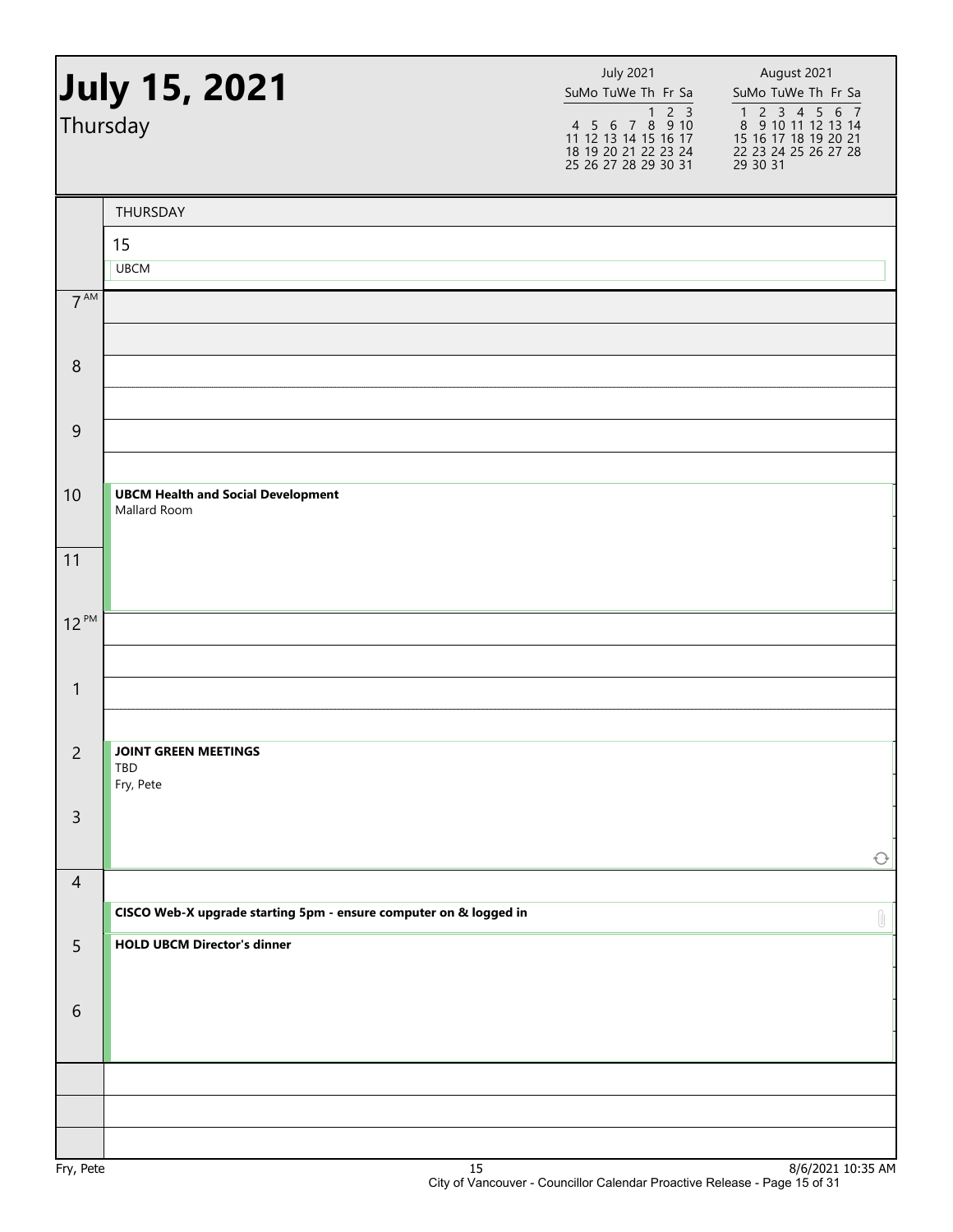|                  | July 15, 2021<br>Thursday                                         | <b>July 2021</b><br>SuMo TuWe Th Fr Sa<br>$2\overline{3}$<br>1<br>$4\ 5\ 6\ 7\ 8\ 9\ 10$<br>11 12 13 14 15 16 17<br>18 19 20 21 22 23 24<br>25 26 27 28 29 30 31 | August 2021<br>SuMo TuWe Th Fr Sa<br>1 2 3 4 5 6 7<br>8 9 10 11 12 13 14<br>15 16 17 18 19 20 21<br>22 23 24 25 26 27 28<br>29 30 31 |
|------------------|-------------------------------------------------------------------|------------------------------------------------------------------------------------------------------------------------------------------------------------------|--------------------------------------------------------------------------------------------------------------------------------------|
|                  | THURSDAY                                                          |                                                                                                                                                                  |                                                                                                                                      |
|                  | 15                                                                |                                                                                                                                                                  |                                                                                                                                      |
|                  | <b>UBCM</b>                                                       |                                                                                                                                                                  |                                                                                                                                      |
| 7 <sup>AM</sup>  |                                                                   |                                                                                                                                                                  |                                                                                                                                      |
| $\boldsymbol{8}$ |                                                                   |                                                                                                                                                                  |                                                                                                                                      |
| 9                |                                                                   |                                                                                                                                                                  |                                                                                                                                      |
| 10               | <b>UBCM Health and Social Development</b><br>Mallard Room         |                                                                                                                                                                  |                                                                                                                                      |
| 11               |                                                                   |                                                                                                                                                                  |                                                                                                                                      |
| $12^{PM}$        |                                                                   |                                                                                                                                                                  |                                                                                                                                      |
| $\mathbf{1}$     |                                                                   |                                                                                                                                                                  |                                                                                                                                      |
| $\overline{c}$   | <b>JOINT GREEN MEETINGS</b><br>TBD<br>Fry, Pete                   |                                                                                                                                                                  |                                                                                                                                      |
| $\overline{3}$   |                                                                   |                                                                                                                                                                  | $\bigcirc$                                                                                                                           |
| $\overline{4}$   | CISCO Web-X upgrade starting 5pm - ensure computer on & logged in |                                                                                                                                                                  | $\begin{matrix} \end{matrix}$                                                                                                        |
| 5                | <b>HOLD UBCM Director's dinner</b>                                |                                                                                                                                                                  |                                                                                                                                      |
| 6                |                                                                   |                                                                                                                                                                  |                                                                                                                                      |
|                  |                                                                   |                                                                                                                                                                  |                                                                                                                                      |
|                  |                                                                   |                                                                                                                                                                  |                                                                                                                                      |
|                  | ŦП                                                                |                                                                                                                                                                  | 0/0.02110.25M                                                                                                                        |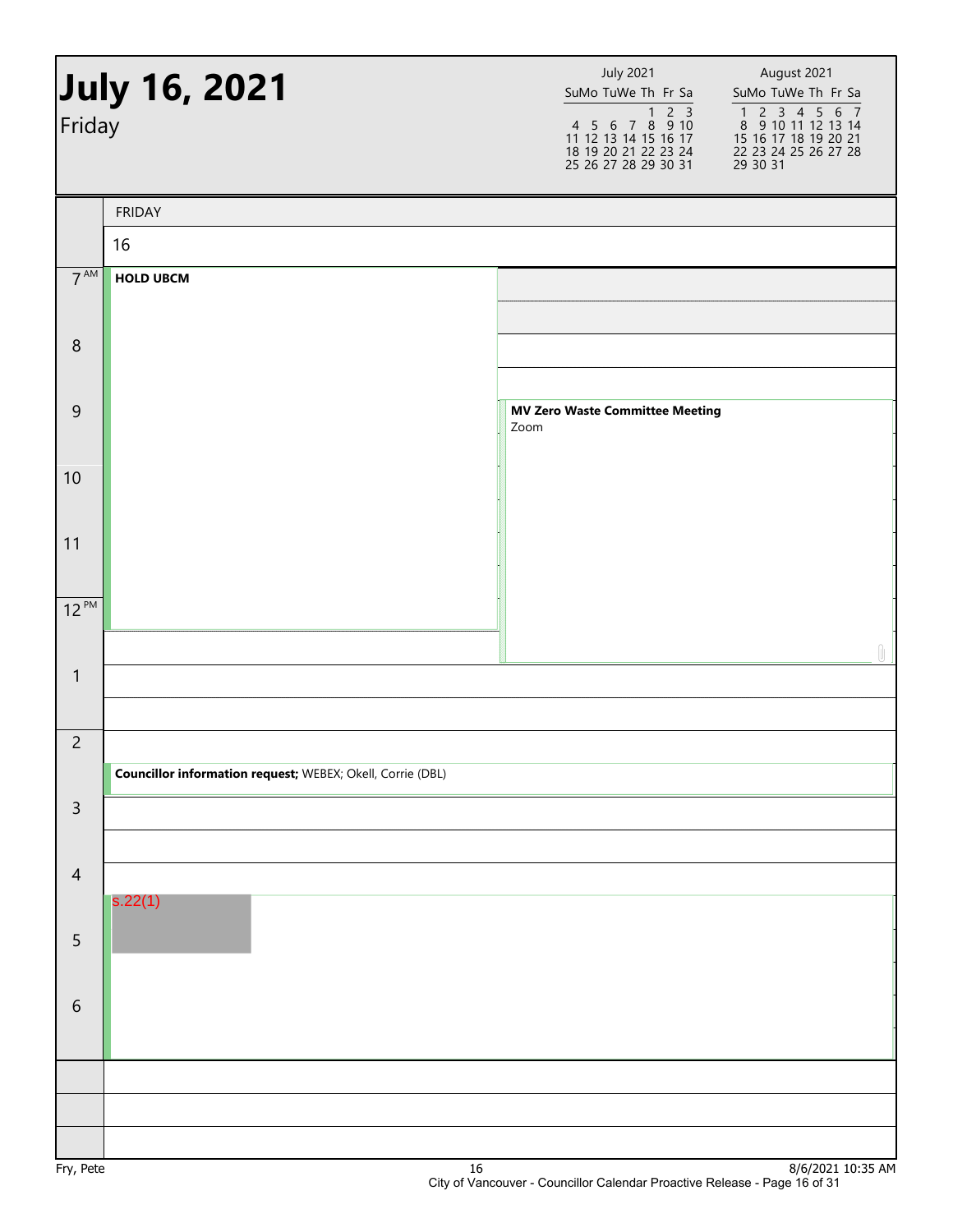| July 16, 2021<br>Friday |                                                                   |      | <b>July 2021</b><br>SuMo TuWe Th Fr Sa<br>4 5 6 7 8 9 10<br>11 12 13 14 15 16 17<br>18 19 20 21 22 23 24<br>25 26 27 28 29 30 31 | August 2021<br>SuMo TuWe Th Fr Sa<br>1 2 3 4 5 6 7<br>8 9 10 11 12 13 14<br>15 16 17 18 19 20 21<br>22 23 24 25 26 27 28<br>29 30 31 |
|-------------------------|-------------------------------------------------------------------|------|----------------------------------------------------------------------------------------------------------------------------------|--------------------------------------------------------------------------------------------------------------------------------------|
|                         | <b>FRIDAY</b>                                                     |      |                                                                                                                                  |                                                                                                                                      |
|                         | 16                                                                |      |                                                                                                                                  |                                                                                                                                      |
| $7^{\text{AM}}$         | <b>HOLD UBCM</b>                                                  |      |                                                                                                                                  |                                                                                                                                      |
|                         |                                                                   |      |                                                                                                                                  |                                                                                                                                      |
| $\, 8$                  |                                                                   |      |                                                                                                                                  |                                                                                                                                      |
|                         |                                                                   |      |                                                                                                                                  |                                                                                                                                      |
| $\mathsf 9$             |                                                                   | Zoom | <b>MV Zero Waste Committee Meeting</b>                                                                                           |                                                                                                                                      |
|                         |                                                                   |      |                                                                                                                                  |                                                                                                                                      |
| 10                      |                                                                   |      |                                                                                                                                  |                                                                                                                                      |
|                         |                                                                   |      |                                                                                                                                  |                                                                                                                                      |
| 11                      |                                                                   |      |                                                                                                                                  |                                                                                                                                      |
| $12^{PM}$               |                                                                   |      |                                                                                                                                  |                                                                                                                                      |
|                         |                                                                   |      |                                                                                                                                  |                                                                                                                                      |
| $\mathbf{1}$            |                                                                   |      |                                                                                                                                  | Û                                                                                                                                    |
|                         |                                                                   |      |                                                                                                                                  |                                                                                                                                      |
| $\overline{2}$          |                                                                   |      |                                                                                                                                  |                                                                                                                                      |
|                         | <b>Councillor information request; WEBEX; Okell, Corrie (DBL)</b> |      |                                                                                                                                  |                                                                                                                                      |
| $\mathsf{3}$            |                                                                   |      |                                                                                                                                  |                                                                                                                                      |
|                         |                                                                   |      |                                                                                                                                  |                                                                                                                                      |
| $\overline{4}$          |                                                                   |      |                                                                                                                                  |                                                                                                                                      |
|                         | s.22(1)                                                           |      |                                                                                                                                  |                                                                                                                                      |
| 5                       |                                                                   |      |                                                                                                                                  |                                                                                                                                      |
|                         |                                                                   |      |                                                                                                                                  |                                                                                                                                      |
| $6\,$                   |                                                                   |      |                                                                                                                                  |                                                                                                                                      |
|                         |                                                                   |      |                                                                                                                                  |                                                                                                                                      |
|                         |                                                                   |      |                                                                                                                                  |                                                                                                                                      |
|                         |                                                                   |      |                                                                                                                                  |                                                                                                                                      |
|                         |                                                                   |      |                                                                                                                                  | 01510024                                                                                                                             |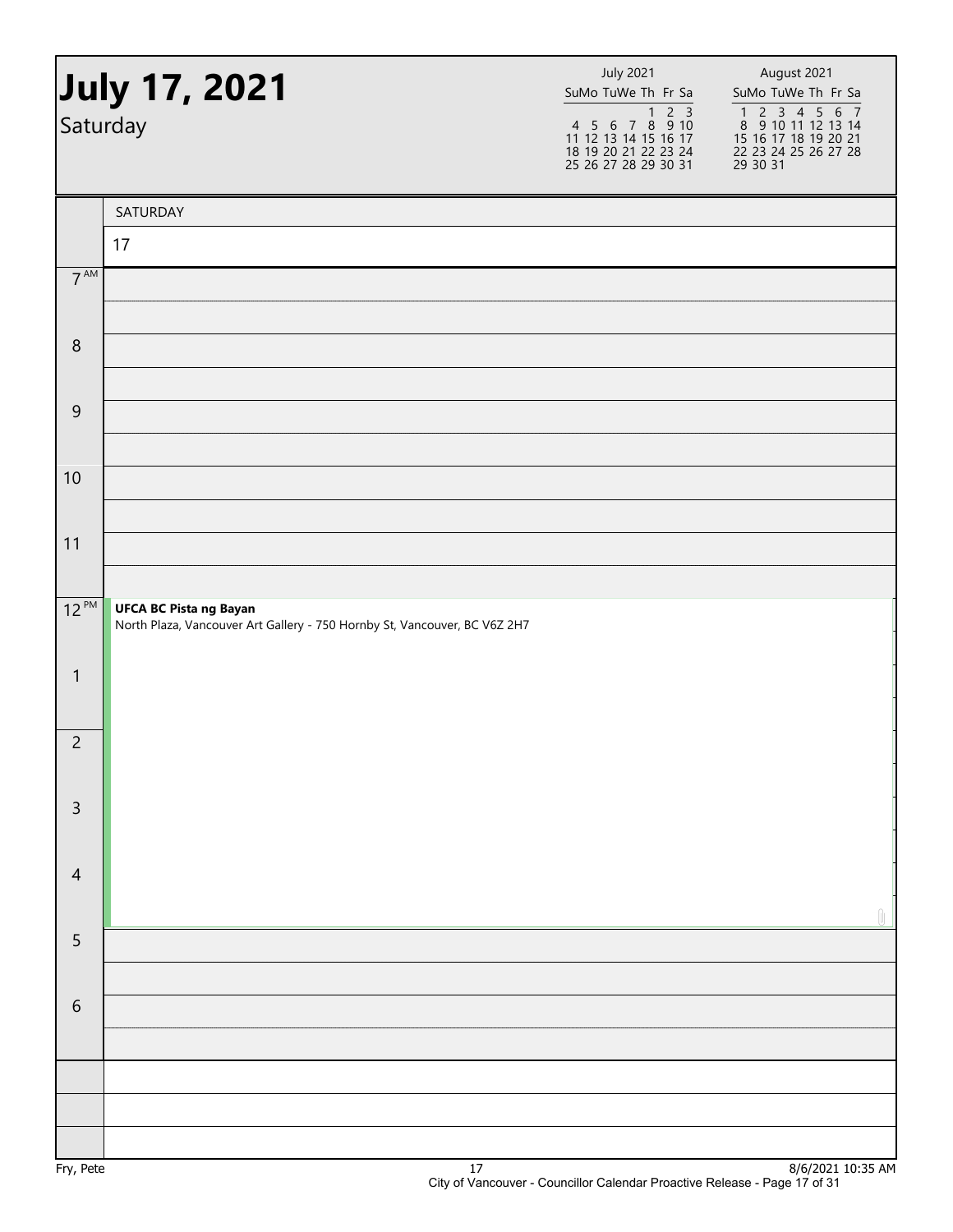|                 | July 17, 2021<br>Saturday                                                                                  | <b>July 2021</b><br>SuMo TuWe Th Fr Sa<br>1 2 3<br>4 5 6 7 8 9 10<br>11 12 13 14 15 16 17<br>18 19 20 21 22 23 24<br>25 26 27 28 29 30 31 | August 2021<br>SuMo TuWe Th Fr Sa<br>1 2 3 4 5 6 7<br>8 9 10 11 12 13 14<br>15 16 17 18 19 20 21<br>22 23 24 25 26 27 28<br>29 30 31 |  |
|-----------------|------------------------------------------------------------------------------------------------------------|-------------------------------------------------------------------------------------------------------------------------------------------|--------------------------------------------------------------------------------------------------------------------------------------|--|
|                 | SATURDAY                                                                                                   |                                                                                                                                           |                                                                                                                                      |  |
|                 | 17                                                                                                         |                                                                                                                                           |                                                                                                                                      |  |
| $7^{\text{AM}}$ |                                                                                                            |                                                                                                                                           |                                                                                                                                      |  |
| $\, 8$          |                                                                                                            |                                                                                                                                           |                                                                                                                                      |  |
| $\mathsf 9$     |                                                                                                            |                                                                                                                                           |                                                                                                                                      |  |
| 10              |                                                                                                            |                                                                                                                                           |                                                                                                                                      |  |
| 11              |                                                                                                            |                                                                                                                                           |                                                                                                                                      |  |
| $12^{PM}$       | <b>UFCA BC Pista ng Bayan</b><br>North Plaza, Vancouver Art Gallery - 750 Hornby St, Vancouver, BC V6Z 2H7 |                                                                                                                                           |                                                                                                                                      |  |
| $\mathbf{1}$    |                                                                                                            |                                                                                                                                           |                                                                                                                                      |  |
| $\overline{c}$  |                                                                                                            |                                                                                                                                           |                                                                                                                                      |  |
| $\mathsf{3}$    |                                                                                                            |                                                                                                                                           |                                                                                                                                      |  |
| $\overline{4}$  |                                                                                                            |                                                                                                                                           |                                                                                                                                      |  |
| 5               |                                                                                                            |                                                                                                                                           |                                                                                                                                      |  |
| $6\,$           |                                                                                                            |                                                                                                                                           |                                                                                                                                      |  |
|                 |                                                                                                            |                                                                                                                                           |                                                                                                                                      |  |
|                 |                                                                                                            |                                                                                                                                           |                                                                                                                                      |  |
|                 |                                                                                                            |                                                                                                                                           | 1612021                                                                                                                              |  |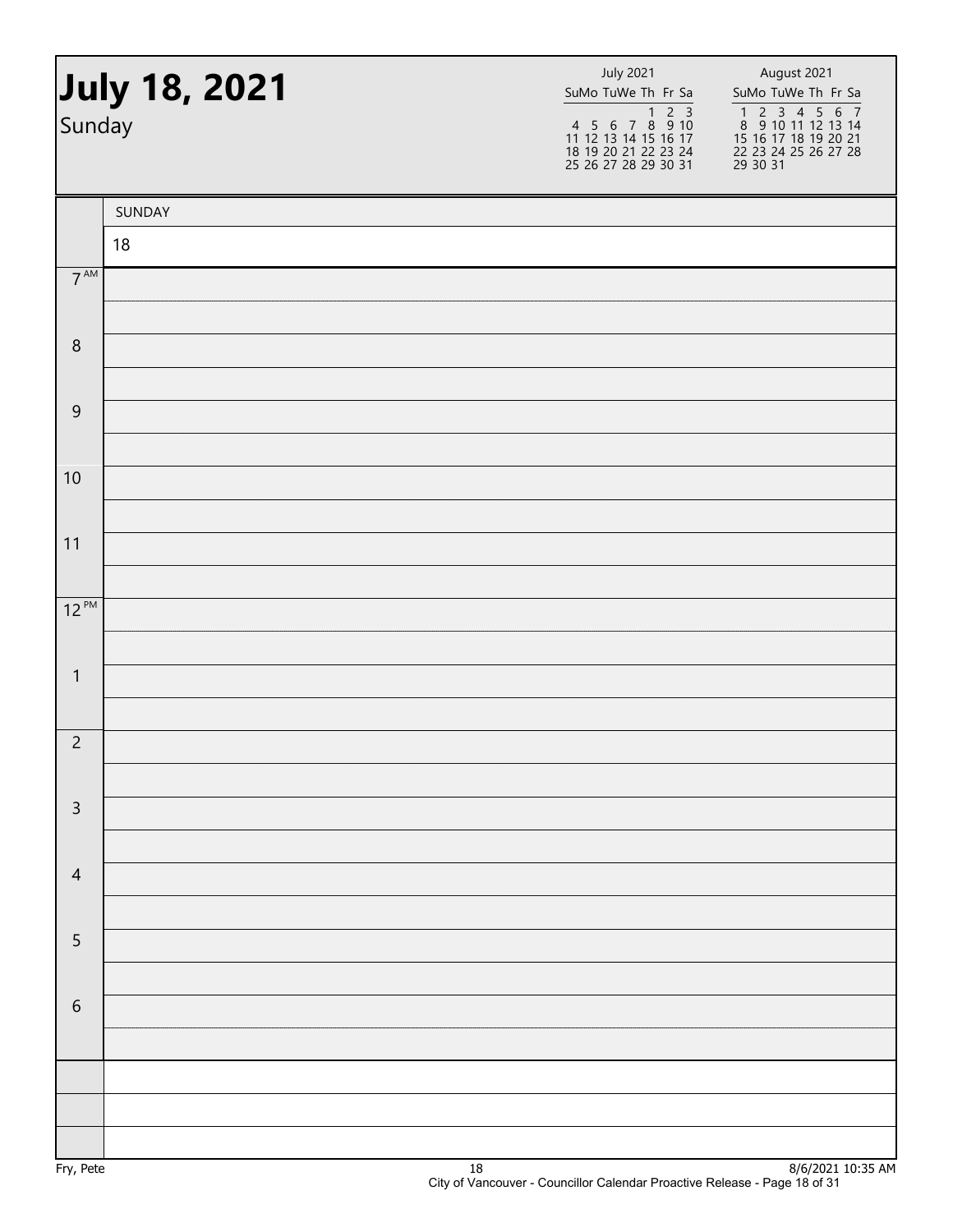| Sunday          | July 18, 2021 | <b>July 2021</b><br>SuMo TuWe Th Fr Sa<br>1 2 3<br>4 5 6 7 8 9 10<br>11 12 13 14 15 16 17<br>18 19 20 21 22 23 24<br>25 26 27 28 29 30 31 | August 2021<br>SuMo TuWe Th Fr Sa<br>1 2 3 4 5 6 7<br>8 9 10 11 12 13 14<br>15 16 17 18 19 20 21<br>22 23 24 25 26 27 28<br>29 30 31 |
|-----------------|---------------|-------------------------------------------------------------------------------------------------------------------------------------------|--------------------------------------------------------------------------------------------------------------------------------------|
|                 | SUNDAY        |                                                                                                                                           |                                                                                                                                      |
|                 | 18            |                                                                                                                                           |                                                                                                                                      |
| $7^{\text{AM}}$ |               |                                                                                                                                           |                                                                                                                                      |
| $\,8\,$         |               |                                                                                                                                           |                                                                                                                                      |
|                 |               |                                                                                                                                           |                                                                                                                                      |
| $\overline{9}$  |               |                                                                                                                                           |                                                                                                                                      |
|                 |               |                                                                                                                                           |                                                                                                                                      |
| 10              |               |                                                                                                                                           |                                                                                                                                      |
| 11              |               |                                                                                                                                           |                                                                                                                                      |
|                 |               |                                                                                                                                           |                                                                                                                                      |
| $12^{PM}$       |               |                                                                                                                                           |                                                                                                                                      |
| $\mathbf{1}$    |               |                                                                                                                                           |                                                                                                                                      |
|                 |               |                                                                                                                                           |                                                                                                                                      |
| $\overline{c}$  |               |                                                                                                                                           |                                                                                                                                      |
|                 |               |                                                                                                                                           |                                                                                                                                      |
| $\mathsf 3$     |               |                                                                                                                                           |                                                                                                                                      |
| $\overline{4}$  |               |                                                                                                                                           |                                                                                                                                      |
|                 |               |                                                                                                                                           |                                                                                                                                      |
| $\sqrt{5}$      |               |                                                                                                                                           |                                                                                                                                      |
|                 |               |                                                                                                                                           |                                                                                                                                      |
| $\sqrt{6}$      |               |                                                                                                                                           |                                                                                                                                      |
|                 |               |                                                                                                                                           |                                                                                                                                      |
|                 |               |                                                                                                                                           |                                                                                                                                      |
|                 |               |                                                                                                                                           |                                                                                                                                      |
|                 |               |                                                                                                                                           |                                                                                                                                      |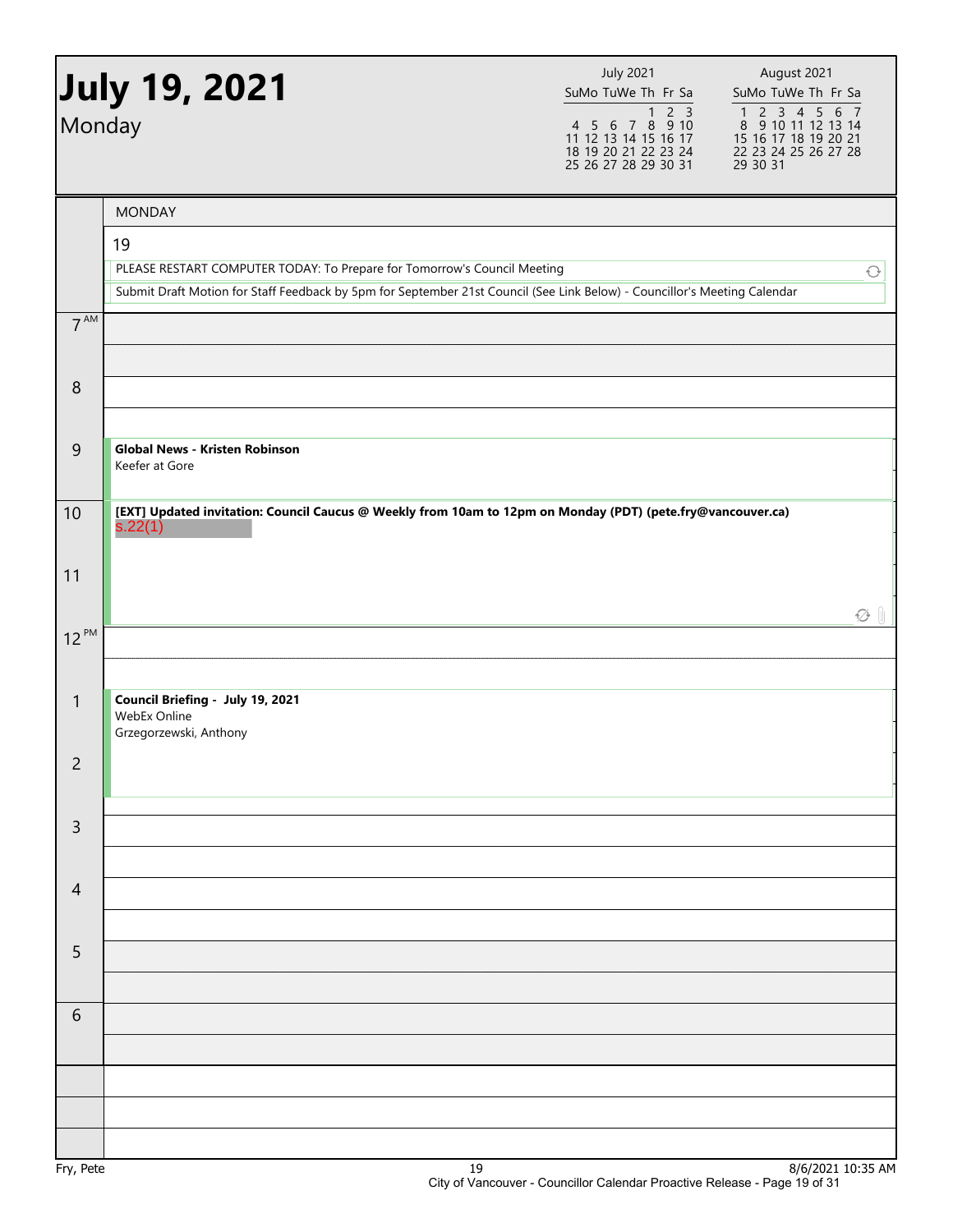| Monday          | July 19, 2021                                                                                                             | <b>July 2021</b><br>SuMo TuWe Th Fr Sa<br>4 5 6 7 8 9 10<br>11 12 13 14 15 16 17<br>18 19 20 21 22 23 24<br>25 26 27 28 29 30 31 | August 2021<br>SuMo TuWe Th Fr Sa<br>1 2 3 4 5 6 7<br>8 9 10 11 12 13 14<br>15 16 17 18 19 20 21<br>22 23 24 25 26 27 28<br>29 30 31 |
|-----------------|---------------------------------------------------------------------------------------------------------------------------|----------------------------------------------------------------------------------------------------------------------------------|--------------------------------------------------------------------------------------------------------------------------------------|
|                 | <b>MONDAY</b>                                                                                                             |                                                                                                                                  |                                                                                                                                      |
|                 | 19<br>PLEASE RESTART COMPUTER TODAY: To Prepare for Tomorrow's Council Meeting                                            |                                                                                                                                  | $\bigcirc$                                                                                                                           |
|                 | Submit Draft Motion for Staff Feedback by 5pm for September 21st Council (See Link Below) - Councillor's Meeting Calendar |                                                                                                                                  |                                                                                                                                      |
| 7 <sup>AM</sup> |                                                                                                                           |                                                                                                                                  |                                                                                                                                      |
| 8               |                                                                                                                           |                                                                                                                                  |                                                                                                                                      |
| $\overline{9}$  | <b>Global News - Kristen Robinson</b><br>Keefer at Gore                                                                   |                                                                                                                                  |                                                                                                                                      |
| 10              | [EXT] Updated invitation: Council Caucus @ Weekly from 10am to 12pm on Monday (PDT) (pete.fry@vancouver.ca)<br>s.22(1)    |                                                                                                                                  |                                                                                                                                      |
| 11              |                                                                                                                           |                                                                                                                                  | $\varnothing$ 1                                                                                                                      |
| $12^{PM}$       |                                                                                                                           |                                                                                                                                  |                                                                                                                                      |
| 1               | Council Briefing - July 19, 2021<br>WebEx Online<br>Grzegorzewski, Anthony                                                |                                                                                                                                  |                                                                                                                                      |
| $\overline{c}$  |                                                                                                                           |                                                                                                                                  |                                                                                                                                      |
| $\overline{3}$  |                                                                                                                           |                                                                                                                                  |                                                                                                                                      |
| $\overline{4}$  |                                                                                                                           |                                                                                                                                  |                                                                                                                                      |
| 5               |                                                                                                                           |                                                                                                                                  |                                                                                                                                      |
| 6               |                                                                                                                           |                                                                                                                                  |                                                                                                                                      |
|                 |                                                                                                                           |                                                                                                                                  |                                                                                                                                      |
|                 |                                                                                                                           |                                                                                                                                  |                                                                                                                                      |
|                 |                                                                                                                           |                                                                                                                                  |                                                                                                                                      |
| Fry, Pete       | 19                                                                                                                        |                                                                                                                                  | 8/6/2021 10:35 AM                                                                                                                    |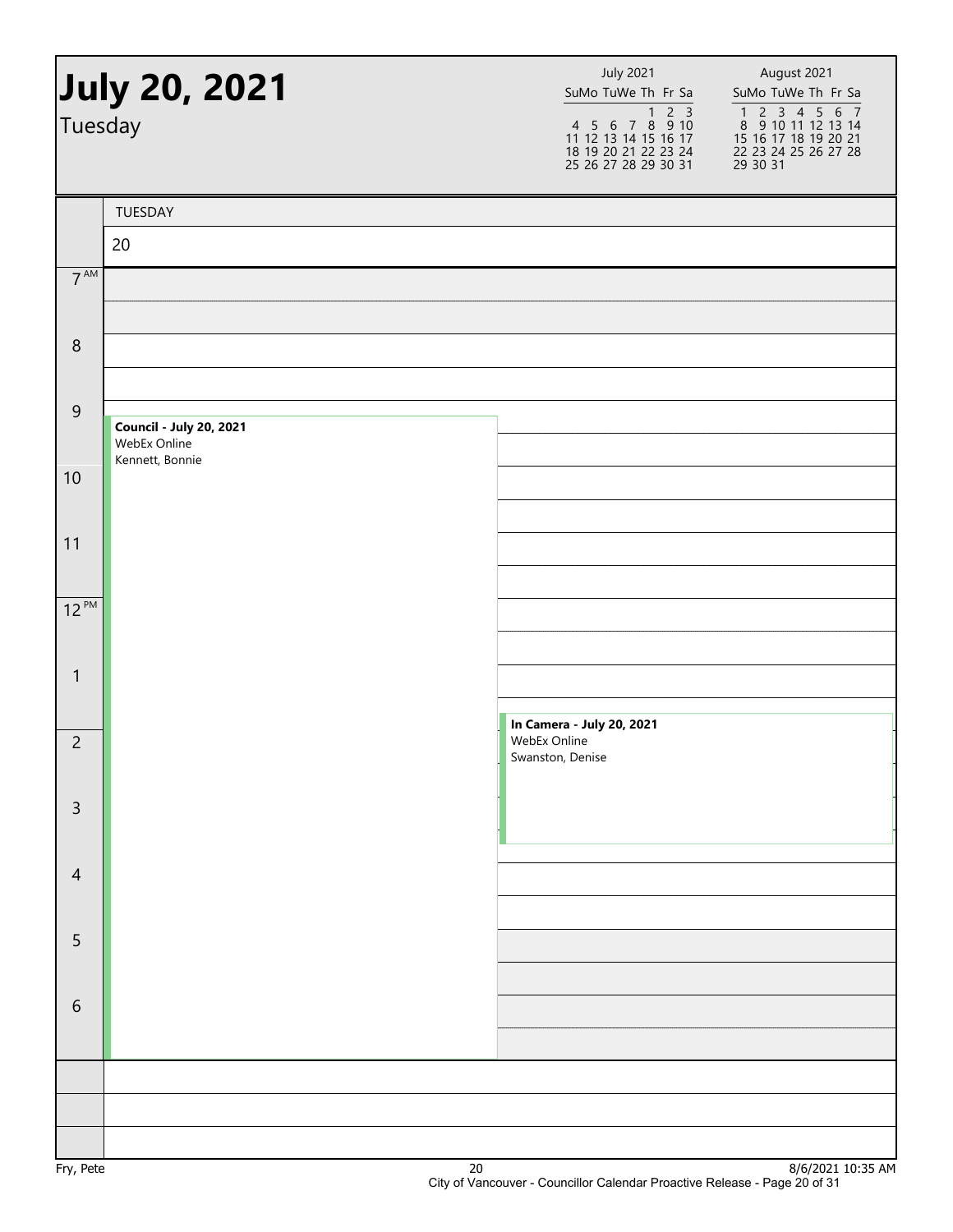| Tuesday          | <b>July 20, 2021</b>                                              | <b>July 2021</b><br>SuMo TuWe Th Fr Sa<br>$1 2 3$<br>4 5 6 7 8 9 10<br>11 12 13 14 15 16 17<br>18 19 20 21 22 23 24<br>25 26 27 28 29 30 31 | August 2021<br>SuMo TuWe Th Fr Sa<br>$\begin{array}{cccccc} 1 & 2 & 3 & 4 & 5 & 6 & 7 \\ 8 & 9 & 10 & 11 & 12 & 13 & 14 \end{array}$<br>15 16 17 18 19 20 21<br>22 23 24 25 26 27 28<br>29 30 31 |
|------------------|-------------------------------------------------------------------|---------------------------------------------------------------------------------------------------------------------------------------------|--------------------------------------------------------------------------------------------------------------------------------------------------------------------------------------------------|
|                  | TUESDAY                                                           |                                                                                                                                             |                                                                                                                                                                                                  |
|                  | 20                                                                |                                                                                                                                             |                                                                                                                                                                                                  |
| $7^{\text{AM}}$  |                                                                   |                                                                                                                                             |                                                                                                                                                                                                  |
|                  |                                                                   |                                                                                                                                             |                                                                                                                                                                                                  |
| $\,8\,$          |                                                                   |                                                                                                                                             |                                                                                                                                                                                                  |
| $\boldsymbol{9}$ |                                                                   |                                                                                                                                             |                                                                                                                                                                                                  |
|                  | <b>Council - July 20, 2021</b><br>WebEx Online<br>Kennett, Bonnie |                                                                                                                                             |                                                                                                                                                                                                  |
| 10               |                                                                   |                                                                                                                                             |                                                                                                                                                                                                  |
| 11               |                                                                   |                                                                                                                                             |                                                                                                                                                                                                  |
|                  |                                                                   |                                                                                                                                             |                                                                                                                                                                                                  |
| $12^{PM}$        |                                                                   |                                                                                                                                             |                                                                                                                                                                                                  |
| $\mathbf{1}$     |                                                                   |                                                                                                                                             |                                                                                                                                                                                                  |
|                  |                                                                   |                                                                                                                                             |                                                                                                                                                                                                  |
| $\overline{c}$   |                                                                   | In Camera - July 20, 2021<br>WebEx Online<br>Swanston, Denise                                                                               |                                                                                                                                                                                                  |
| $\mathsf{3}$     |                                                                   |                                                                                                                                             |                                                                                                                                                                                                  |
|                  |                                                                   |                                                                                                                                             |                                                                                                                                                                                                  |
| $\overline{4}$   |                                                                   |                                                                                                                                             |                                                                                                                                                                                                  |
|                  |                                                                   |                                                                                                                                             |                                                                                                                                                                                                  |
| 5                |                                                                   |                                                                                                                                             |                                                                                                                                                                                                  |
| 6                |                                                                   |                                                                                                                                             |                                                                                                                                                                                                  |
|                  |                                                                   |                                                                                                                                             |                                                                                                                                                                                                  |
|                  |                                                                   |                                                                                                                                             |                                                                                                                                                                                                  |
|                  |                                                                   |                                                                                                                                             |                                                                                                                                                                                                  |
| D.               | $\mathbf{a}$                                                      |                                                                                                                                             | 0/0.02110.25M                                                                                                                                                                                    |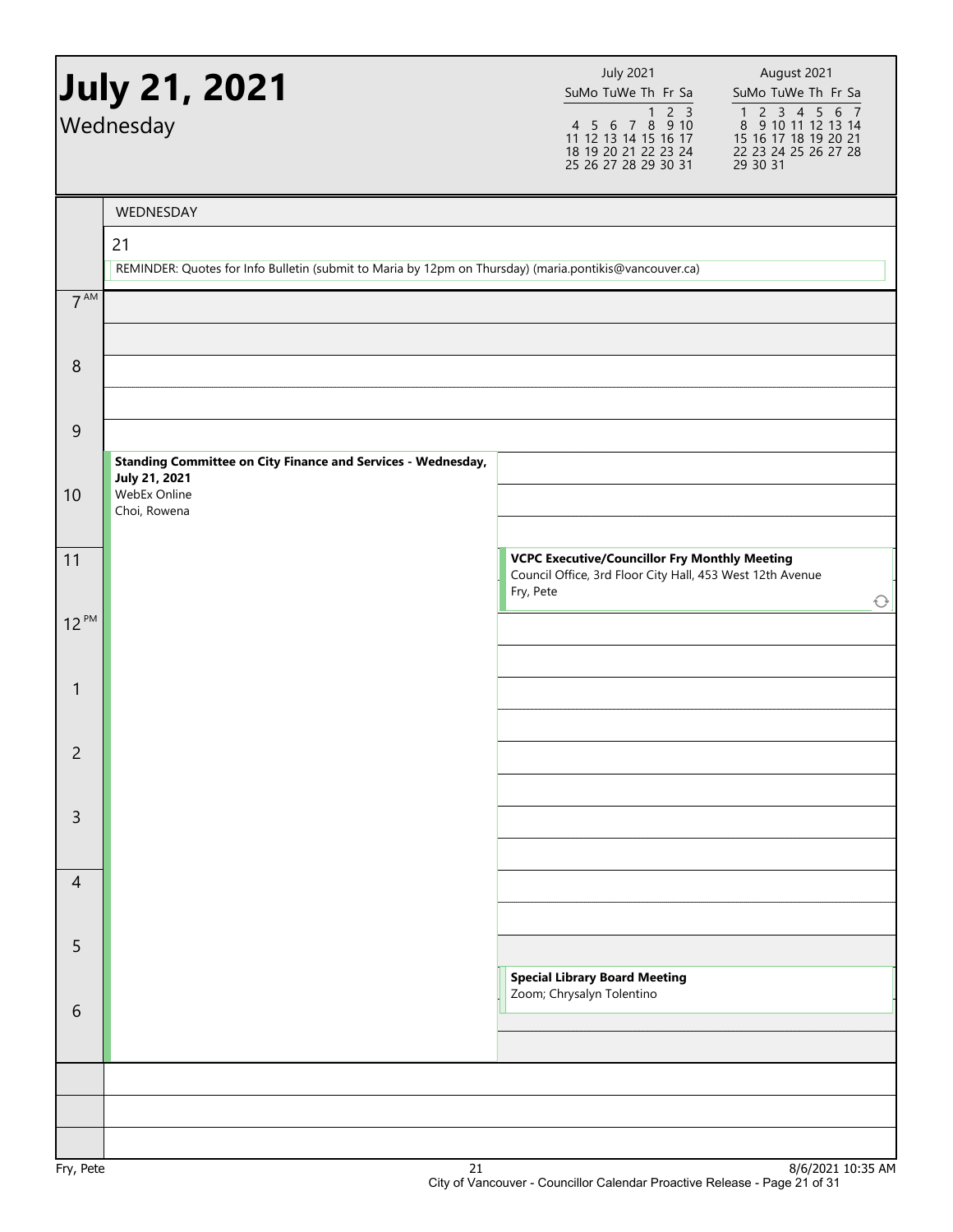|                 | <b>July 21, 2021</b><br>Wednesday                                                                            | <b>July 2021</b><br>SuMo TuWe Th Fr Sa<br>$2 \overline{3}$<br>$\mathbf{1}$<br>4 5 6 7 8 9 10<br>11 12 13 14 15 16 17<br>18 19 20 21 22 23 24<br>25 26 27 28 29 30 31 | August 2021<br>SuMo TuWe Th Fr Sa<br>$\begin{array}{cccccc}\n1 & 2 & 3 & 4 & 5 & 6 & 7 \\ 8 & 9 & 10 & 11 & 12 & 13 & 14\n\end{array}$<br>15 16 17 18 19 20 21<br>22 23 24 25 26 27 28<br>29 30 31 |
|-----------------|--------------------------------------------------------------------------------------------------------------|----------------------------------------------------------------------------------------------------------------------------------------------------------------------|----------------------------------------------------------------------------------------------------------------------------------------------------------------------------------------------------|
|                 |                                                                                                              |                                                                                                                                                                      |                                                                                                                                                                                                    |
|                 | WEDNESDAY                                                                                                    |                                                                                                                                                                      |                                                                                                                                                                                                    |
|                 | 21<br>REMINDER: Quotes for Info Bulletin (submit to Maria by 12pm on Thursday) (maria.pontikis@vancouver.ca) |                                                                                                                                                                      |                                                                                                                                                                                                    |
| 7 <sup>AM</sup> |                                                                                                              |                                                                                                                                                                      |                                                                                                                                                                                                    |
|                 |                                                                                                              |                                                                                                                                                                      |                                                                                                                                                                                                    |
| $\,8\,$         |                                                                                                              |                                                                                                                                                                      |                                                                                                                                                                                                    |
|                 |                                                                                                              |                                                                                                                                                                      |                                                                                                                                                                                                    |
| 9               |                                                                                                              |                                                                                                                                                                      |                                                                                                                                                                                                    |
|                 | <b>Standing Committee on City Finance and Services - Wednesday,</b>                                          |                                                                                                                                                                      |                                                                                                                                                                                                    |
| 10              | July 21, 2021<br>WebEx Online                                                                                |                                                                                                                                                                      |                                                                                                                                                                                                    |
|                 | Choi, Rowena                                                                                                 |                                                                                                                                                                      |                                                                                                                                                                                                    |
| 11              |                                                                                                              | <b>VCPC Executive/Councillor Fry Monthly Meeting</b><br>Council Office, 3rd Floor City Hall, 453 West 12th Avenue                                                    |                                                                                                                                                                                                    |
|                 |                                                                                                              | Fry, Pete                                                                                                                                                            | $\bigcirc$                                                                                                                                                                                         |
| $12^{PM}$       |                                                                                                              |                                                                                                                                                                      |                                                                                                                                                                                                    |
|                 |                                                                                                              |                                                                                                                                                                      |                                                                                                                                                                                                    |
| $\mathbf{1}$    |                                                                                                              |                                                                                                                                                                      |                                                                                                                                                                                                    |
|                 |                                                                                                              |                                                                                                                                                                      |                                                                                                                                                                                                    |
| $\overline{c}$  |                                                                                                              |                                                                                                                                                                      |                                                                                                                                                                                                    |
|                 |                                                                                                              |                                                                                                                                                                      |                                                                                                                                                                                                    |
| $\overline{3}$  |                                                                                                              |                                                                                                                                                                      |                                                                                                                                                                                                    |
| $\overline{4}$  |                                                                                                              |                                                                                                                                                                      |                                                                                                                                                                                                    |
|                 |                                                                                                              |                                                                                                                                                                      |                                                                                                                                                                                                    |
| 5               |                                                                                                              |                                                                                                                                                                      |                                                                                                                                                                                                    |
|                 |                                                                                                              | <b>Special Library Board Meeting</b>                                                                                                                                 |                                                                                                                                                                                                    |
| 6               |                                                                                                              | Zoom; Chrysalyn Tolentino                                                                                                                                            |                                                                                                                                                                                                    |
|                 |                                                                                                              |                                                                                                                                                                      |                                                                                                                                                                                                    |
|                 |                                                                                                              |                                                                                                                                                                      |                                                                                                                                                                                                    |
|                 |                                                                                                              |                                                                                                                                                                      |                                                                                                                                                                                                    |
|                 |                                                                                                              |                                                                                                                                                                      |                                                                                                                                                                                                    |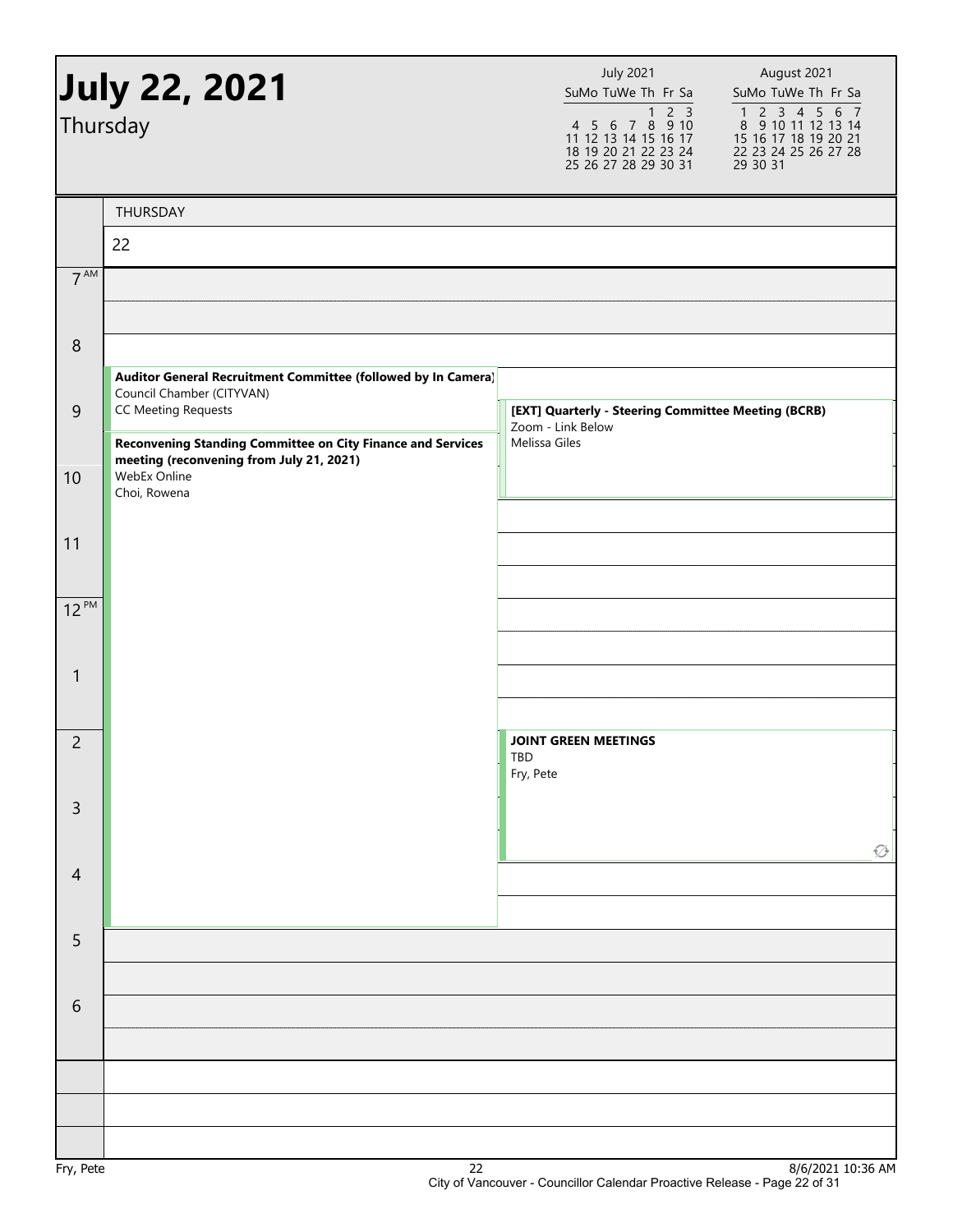| <b>July 22, 2021</b><br>Thursday |                                                                                                                                         | <b>July 2021</b><br>August 2021<br>SuMo TuWe Th Fr Sa<br>SuMo TuWe Th Fr Sa<br>4 5 6 7 8 9 10<br>$\begin{array}{cccccc}\n1 & 2 & 3 & 4 & 5 & 6 & 7 \\ 8 & 9 & 10 & 11 & 12 & 13 & 14\n\end{array}$<br>11 12 13 14 15 16 17<br>15 16 17 18 19 20 21<br>18 19 20 21 22 23 24<br>22 23 24 25 26 27 28<br>25 26 27 28 29 30 31<br>29 30 31 |
|----------------------------------|-----------------------------------------------------------------------------------------------------------------------------------------|----------------------------------------------------------------------------------------------------------------------------------------------------------------------------------------------------------------------------------------------------------------------------------------------------------------------------------------|
|                                  | THURSDAY                                                                                                                                |                                                                                                                                                                                                                                                                                                                                        |
|                                  | 22                                                                                                                                      |                                                                                                                                                                                                                                                                                                                                        |
| 7 <sup>AM</sup>                  |                                                                                                                                         |                                                                                                                                                                                                                                                                                                                                        |
|                                  |                                                                                                                                         |                                                                                                                                                                                                                                                                                                                                        |
| $\boldsymbol{8}$                 |                                                                                                                                         |                                                                                                                                                                                                                                                                                                                                        |
|                                  | Auditor General Recruitment Committee (followed by In Camera)<br>Council Chamber (CITYVAN)                                              |                                                                                                                                                                                                                                                                                                                                        |
| $\overline{9}$                   | <b>CC Meeting Requests</b>                                                                                                              | [EXT] Quarterly - Steering Committee Meeting (BCRB)<br>Zoom - Link Below<br>Melissa Giles                                                                                                                                                                                                                                              |
| 10                               | Reconvening Standing Committee on City Finance and Services<br>meeting (reconvening from July 21, 2021)<br>WebEx Online<br>Choi, Rowena |                                                                                                                                                                                                                                                                                                                                        |
|                                  |                                                                                                                                         |                                                                                                                                                                                                                                                                                                                                        |
| 11                               |                                                                                                                                         |                                                                                                                                                                                                                                                                                                                                        |
| $12^{PM}$                        |                                                                                                                                         |                                                                                                                                                                                                                                                                                                                                        |
|                                  |                                                                                                                                         |                                                                                                                                                                                                                                                                                                                                        |
| 1                                |                                                                                                                                         |                                                                                                                                                                                                                                                                                                                                        |
|                                  |                                                                                                                                         |                                                                                                                                                                                                                                                                                                                                        |
| $\overline{c}$                   |                                                                                                                                         | <b>JOINT GREEN MEETINGS</b>                                                                                                                                                                                                                                                                                                            |
|                                  |                                                                                                                                         | TBD<br>Fry, Pete                                                                                                                                                                                                                                                                                                                       |
| $\mathsf{3}$                     |                                                                                                                                         |                                                                                                                                                                                                                                                                                                                                        |
|                                  |                                                                                                                                         | $\varnothing$                                                                                                                                                                                                                                                                                                                          |
| $\overline{4}$                   |                                                                                                                                         |                                                                                                                                                                                                                                                                                                                                        |
|                                  |                                                                                                                                         |                                                                                                                                                                                                                                                                                                                                        |
| 5                                |                                                                                                                                         |                                                                                                                                                                                                                                                                                                                                        |
|                                  |                                                                                                                                         |                                                                                                                                                                                                                                                                                                                                        |
| 6                                |                                                                                                                                         |                                                                                                                                                                                                                                                                                                                                        |
|                                  |                                                                                                                                         |                                                                                                                                                                                                                                                                                                                                        |
|                                  |                                                                                                                                         |                                                                                                                                                                                                                                                                                                                                        |
|                                  |                                                                                                                                         |                                                                                                                                                                                                                                                                                                                                        |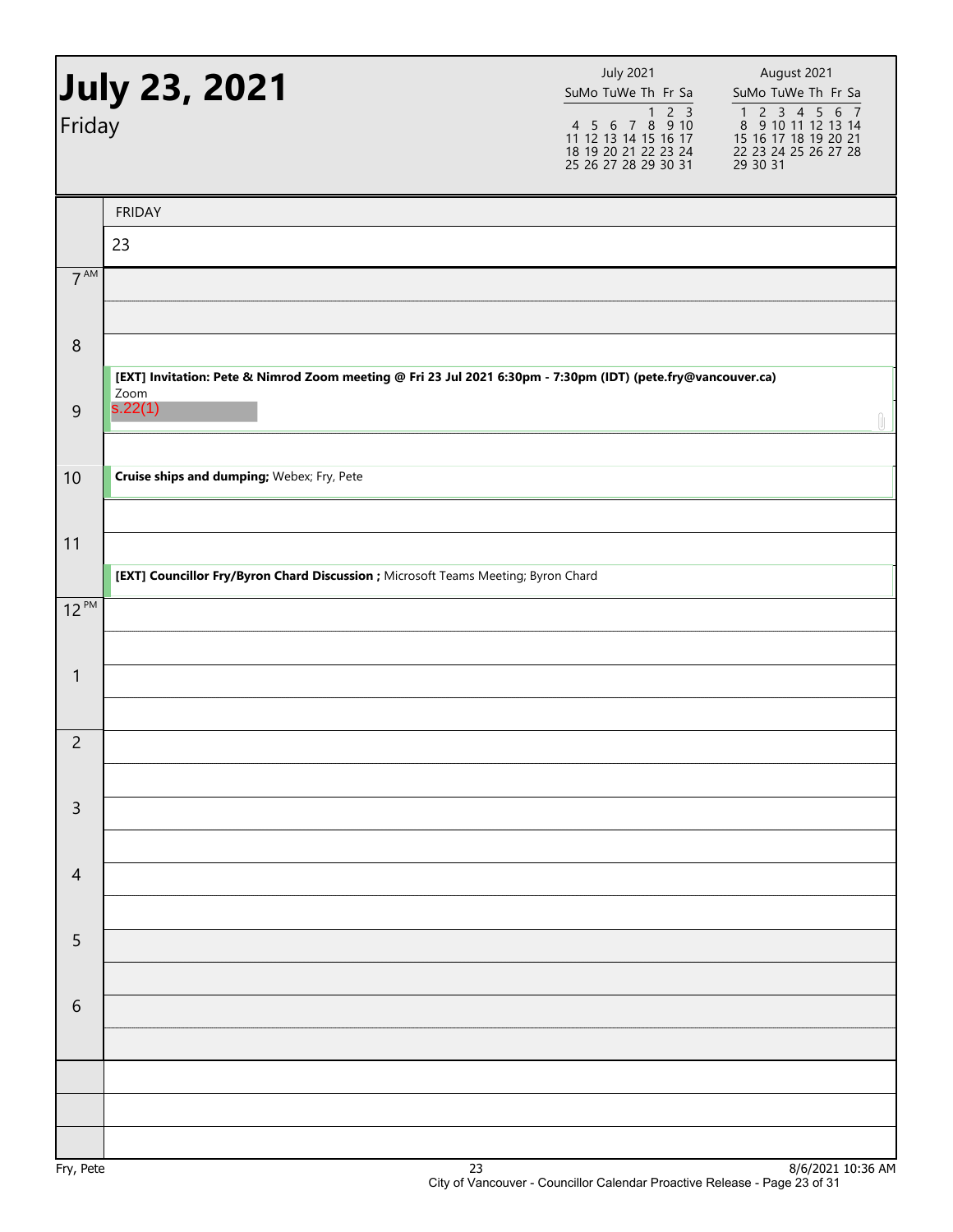| July 23, 2021<br>Friday |                                                                                                                      | <b>July 2021</b><br>SuMo TuWe Th Fr Sa<br>$\overline{2}$ $\overline{3}$<br>$\mathbf{1}$<br>4 5 6 7 8 9 10<br>11 12 13 14 15 16 17<br>18 19 20 21 22 23 24<br>25 26 27 28 29 30 31 | August 2021<br>SuMo TuWe Th Fr Sa<br>$\begin{array}{cccccc}\n1 & 2 & 3 & 4 & 5 & 6 & 7 \\ 8 & 9 & 10 & 11 & 12 & 13 & 14\n\end{array}$<br>15 16 17 18 19 20 21<br>22 23 24 25 26 27 28<br>29 30 31 |  |
|-------------------------|----------------------------------------------------------------------------------------------------------------------|-----------------------------------------------------------------------------------------------------------------------------------------------------------------------------------|----------------------------------------------------------------------------------------------------------------------------------------------------------------------------------------------------|--|
|                         | <b>FRIDAY</b>                                                                                                        |                                                                                                                                                                                   |                                                                                                                                                                                                    |  |
|                         | 23                                                                                                                   |                                                                                                                                                                                   |                                                                                                                                                                                                    |  |
| $7^{\text{AM}}$         |                                                                                                                      |                                                                                                                                                                                   |                                                                                                                                                                                                    |  |
|                         |                                                                                                                      |                                                                                                                                                                                   |                                                                                                                                                                                                    |  |
| $\,8\,$                 |                                                                                                                      |                                                                                                                                                                                   |                                                                                                                                                                                                    |  |
|                         | [EXT] Invitation: Pete & Nimrod Zoom meeting @ Fri 23 Jul 2021 6:30pm - 7:30pm (IDT) (pete.fry@vancouver.ca)<br>Zoom |                                                                                                                                                                                   |                                                                                                                                                                                                    |  |
| $\overline{9}$          | s.22(1)                                                                                                              |                                                                                                                                                                                   | Û                                                                                                                                                                                                  |  |
|                         |                                                                                                                      |                                                                                                                                                                                   |                                                                                                                                                                                                    |  |
| 10                      | Cruise ships and dumping; Webex; Fry, Pete                                                                           |                                                                                                                                                                                   |                                                                                                                                                                                                    |  |
|                         |                                                                                                                      |                                                                                                                                                                                   |                                                                                                                                                                                                    |  |
| 11                      | [EXT] Councillor Fry/Byron Chard Discussion ; Microsoft Teams Meeting; Byron Chard                                   |                                                                                                                                                                                   |                                                                                                                                                                                                    |  |
| $12^{PM}$               |                                                                                                                      |                                                                                                                                                                                   |                                                                                                                                                                                                    |  |
|                         |                                                                                                                      |                                                                                                                                                                                   |                                                                                                                                                                                                    |  |
| $\mathbf{1}$            |                                                                                                                      |                                                                                                                                                                                   |                                                                                                                                                                                                    |  |
|                         |                                                                                                                      |                                                                                                                                                                                   |                                                                                                                                                                                                    |  |
| $\overline{c}$          |                                                                                                                      |                                                                                                                                                                                   |                                                                                                                                                                                                    |  |
|                         |                                                                                                                      |                                                                                                                                                                                   |                                                                                                                                                                                                    |  |
| $\mathsf{3}$            |                                                                                                                      |                                                                                                                                                                                   |                                                                                                                                                                                                    |  |
|                         |                                                                                                                      |                                                                                                                                                                                   |                                                                                                                                                                                                    |  |
| $\overline{4}$          |                                                                                                                      |                                                                                                                                                                                   |                                                                                                                                                                                                    |  |
|                         |                                                                                                                      |                                                                                                                                                                                   |                                                                                                                                                                                                    |  |
| 5                       |                                                                                                                      |                                                                                                                                                                                   |                                                                                                                                                                                                    |  |
|                         |                                                                                                                      |                                                                                                                                                                                   |                                                                                                                                                                                                    |  |
| $6\,$                   |                                                                                                                      |                                                                                                                                                                                   |                                                                                                                                                                                                    |  |
|                         |                                                                                                                      |                                                                                                                                                                                   |                                                                                                                                                                                                    |  |
|                         |                                                                                                                      |                                                                                                                                                                                   |                                                                                                                                                                                                    |  |
|                         |                                                                                                                      |                                                                                                                                                                                   |                                                                                                                                                                                                    |  |
| D <sub>0</sub>          | כר                                                                                                                   |                                                                                                                                                                                   | Q/E/2021, 10.26, AB                                                                                                                                                                                |  |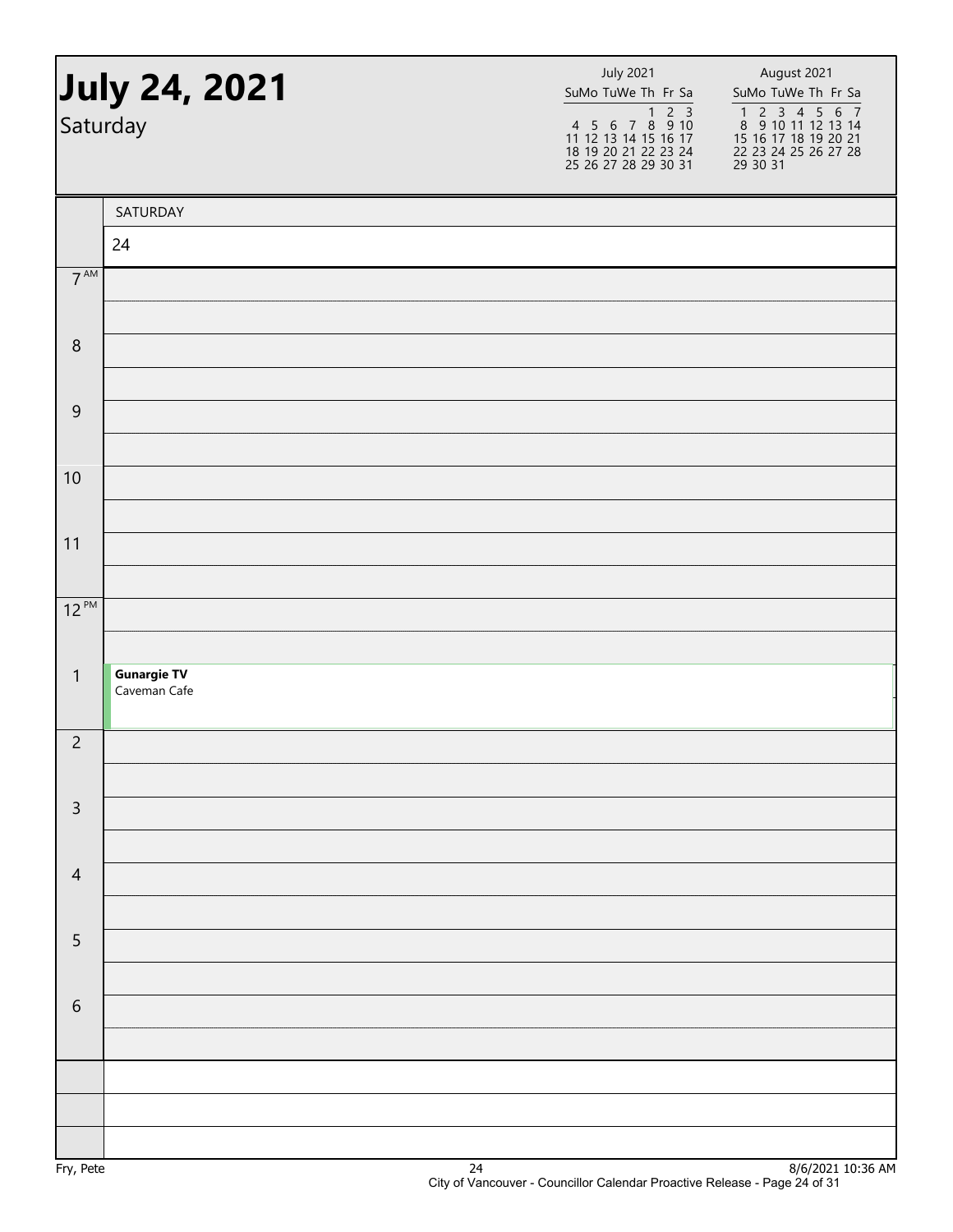| July 24, 2021<br>Saturday |                    | <b>July 2021</b><br>SuMo TuWe Th Fr Sa<br>1 2 3<br>4 5 6 7 8 9 10<br>11 12 13 14 15 16 17<br>18 19 20 21 22 23 24<br>25 26 27 28 29 30 31 | August 2021<br>SuMo TuWe Th Fr Sa<br>1 2 3 4 5 6 7<br>8 9 10 11 12 13 14<br>15 16 17 18 19 20 21<br>22 23 24 25 26 27 28<br>29 30 31 |  |
|---------------------------|--------------------|-------------------------------------------------------------------------------------------------------------------------------------------|--------------------------------------------------------------------------------------------------------------------------------------|--|
|                           | SATURDAY           |                                                                                                                                           |                                                                                                                                      |  |
|                           | 24                 |                                                                                                                                           |                                                                                                                                      |  |
| 7 <sup>AM</sup>           |                    |                                                                                                                                           |                                                                                                                                      |  |
|                           |                    |                                                                                                                                           |                                                                                                                                      |  |
| $\,8\,$                   |                    |                                                                                                                                           |                                                                                                                                      |  |
| $\mathsf 9$               |                    |                                                                                                                                           |                                                                                                                                      |  |
|                           |                    |                                                                                                                                           |                                                                                                                                      |  |
| 10                        |                    |                                                                                                                                           |                                                                                                                                      |  |
|                           |                    |                                                                                                                                           |                                                                                                                                      |  |
| 11                        |                    |                                                                                                                                           |                                                                                                                                      |  |
|                           |                    |                                                                                                                                           |                                                                                                                                      |  |
| $12^{PM}$                 |                    |                                                                                                                                           |                                                                                                                                      |  |
| $\mathbf{1}$              | <b>Gunargie TV</b> |                                                                                                                                           |                                                                                                                                      |  |
|                           | Caveman Cafe       |                                                                                                                                           |                                                                                                                                      |  |
| $\overline{c}$            |                    |                                                                                                                                           |                                                                                                                                      |  |
|                           |                    |                                                                                                                                           |                                                                                                                                      |  |
| $\mathsf{3}$              |                    |                                                                                                                                           |                                                                                                                                      |  |
|                           |                    |                                                                                                                                           |                                                                                                                                      |  |
| $\overline{4}$            |                    |                                                                                                                                           |                                                                                                                                      |  |
| $\sqrt{5}$                |                    |                                                                                                                                           |                                                                                                                                      |  |
|                           |                    |                                                                                                                                           |                                                                                                                                      |  |
| $\sqrt{6}$                |                    |                                                                                                                                           |                                                                                                                                      |  |
|                           |                    |                                                                                                                                           |                                                                                                                                      |  |
|                           |                    |                                                                                                                                           |                                                                                                                                      |  |
|                           |                    |                                                                                                                                           |                                                                                                                                      |  |
|                           |                    |                                                                                                                                           |                                                                                                                                      |  |
|                           |                    |                                                                                                                                           | 0/0                                                                                                                                  |  |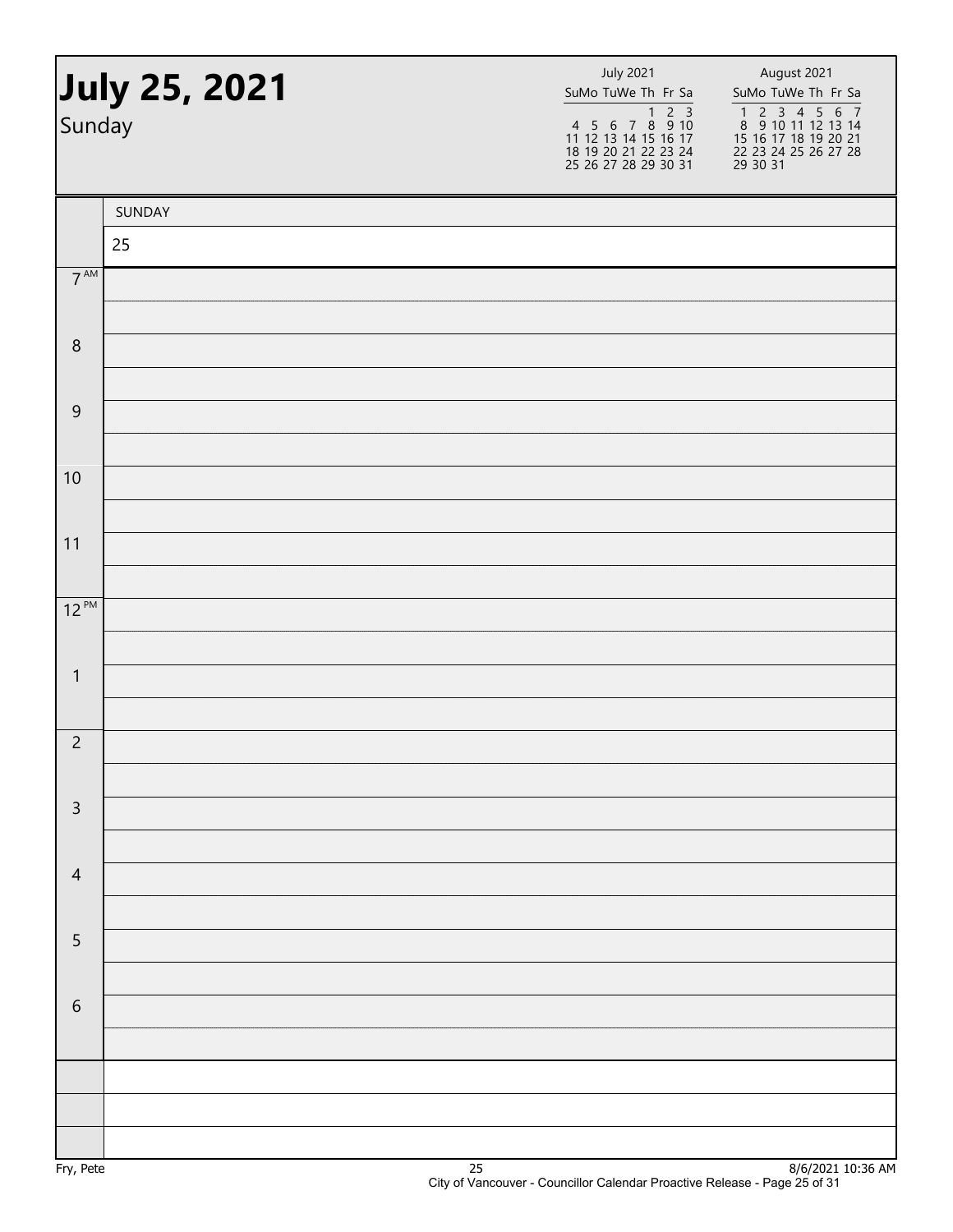| July 25, 2021<br>Sunday |        | <b>July 2021</b><br>SuMo TuWe Th Fr Sa | August 2021<br>SuMo TuWe Th Fr Sa<br>1 2 3 4 5 6 7<br>8 9 10 11 12 13 14<br>15 16 17 18 19 20 21<br>22 23 24 25 26 27 28<br>29 30 31 |
|-------------------------|--------|----------------------------------------|--------------------------------------------------------------------------------------------------------------------------------------|
|                         | SUNDAY |                                        |                                                                                                                                      |
|                         | 25     |                                        |                                                                                                                                      |
| $7^{\text{AM}}$         |        |                                        |                                                                                                                                      |
|                         |        |                                        |                                                                                                                                      |
| $\boldsymbol{8}$        |        |                                        |                                                                                                                                      |
| $\overline{9}$          |        |                                        |                                                                                                                                      |
|                         |        |                                        |                                                                                                                                      |
| 10                      |        |                                        |                                                                                                                                      |
|                         |        |                                        |                                                                                                                                      |
| 11                      |        |                                        |                                                                                                                                      |
| $12^{PM}$               |        |                                        |                                                                                                                                      |
|                         |        |                                        |                                                                                                                                      |
| $\mathbf{1}$            |        |                                        |                                                                                                                                      |
|                         |        |                                        |                                                                                                                                      |
| $\overline{c}$          |        |                                        |                                                                                                                                      |
| $\mathsf{3}$            |        |                                        |                                                                                                                                      |
|                         |        |                                        |                                                                                                                                      |
| $\overline{4}$          |        |                                        |                                                                                                                                      |
|                         |        |                                        |                                                                                                                                      |
| $\sqrt{5}$              |        |                                        |                                                                                                                                      |
|                         |        |                                        |                                                                                                                                      |
| $\sqrt{6}$              |        |                                        |                                                                                                                                      |
|                         |        |                                        |                                                                                                                                      |
|                         |        |                                        |                                                                                                                                      |
|                         |        |                                        |                                                                                                                                      |
|                         |        |                                        |                                                                                                                                      |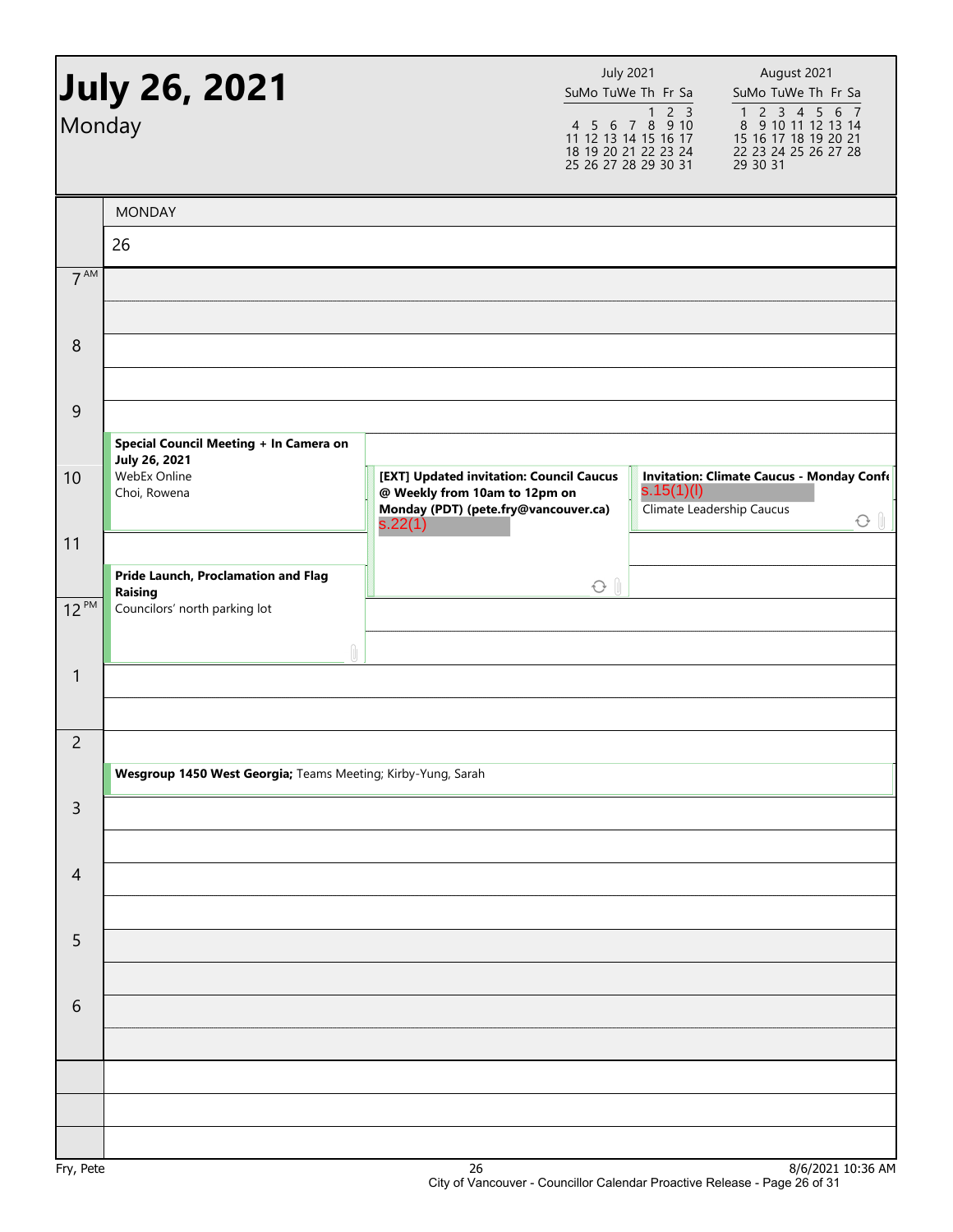| Monday          | July 26, 2021                                                                        |                                                                                                                              | <b>July 2021</b><br>SuMo TuWe Th Fr Sa<br>$2 \overline{3}$<br>$\mathbf{1}$<br>4 5 6 7 8 9 10<br>11 12 13 14 15 16 17<br>18 19 20 21 22 23 24<br>25 26 27 28 29 30 31 | August 2021<br>SuMo TuWe Th Fr Sa<br>1 2 3 4 5 6 7<br>8 9 10 11 12 13 14<br>15 16 17 18 19 20 21<br>22 23 24 25 26 27 28<br>29 30 31 |
|-----------------|--------------------------------------------------------------------------------------|------------------------------------------------------------------------------------------------------------------------------|----------------------------------------------------------------------------------------------------------------------------------------------------------------------|--------------------------------------------------------------------------------------------------------------------------------------|
|                 | <b>MONDAY</b>                                                                        |                                                                                                                              |                                                                                                                                                                      |                                                                                                                                      |
|                 | 26                                                                                   |                                                                                                                              |                                                                                                                                                                      |                                                                                                                                      |
| 7 <sup>AM</sup> |                                                                                      |                                                                                                                              |                                                                                                                                                                      |                                                                                                                                      |
| 8               |                                                                                      |                                                                                                                              |                                                                                                                                                                      |                                                                                                                                      |
| 9               | Special Council Meeting + In Camera on                                               |                                                                                                                              |                                                                                                                                                                      |                                                                                                                                      |
| 10              | <b>July 26, 2021</b><br>WebEx Online<br>Choi, Rowena                                 | [EXT] Updated invitation: Council Caucus<br>@ Weekly from 10am to 12pm on<br>Monday (PDT) (pete.fry@vancouver.ca)<br>s.22(1) | s.15(1)(l)<br>Climate Leadership Caucus                                                                                                                              | <b>Invitation: Climate Caucus - Monday Confe</b><br>$O \parallel$                                                                    |
| 11              |                                                                                      |                                                                                                                              |                                                                                                                                                                      |                                                                                                                                      |
| $12^{PM}$       | Pride Launch, Proclamation and Flag<br>Raising<br>Councilors' north parking lot<br>Û |                                                                                                                              | $O$ $\theta$                                                                                                                                                         |                                                                                                                                      |
| $\mathbf{1}$    |                                                                                      |                                                                                                                              |                                                                                                                                                                      |                                                                                                                                      |
| $\overline{c}$  |                                                                                      |                                                                                                                              |                                                                                                                                                                      |                                                                                                                                      |
|                 | Wesgroup 1450 West Georgia; Teams Meeting; Kirby-Yung, Sarah                         |                                                                                                                              |                                                                                                                                                                      |                                                                                                                                      |
| $\mathsf{3}$    |                                                                                      |                                                                                                                              |                                                                                                                                                                      |                                                                                                                                      |
| $\overline{4}$  |                                                                                      |                                                                                                                              |                                                                                                                                                                      |                                                                                                                                      |
| 5               |                                                                                      |                                                                                                                              |                                                                                                                                                                      |                                                                                                                                      |
| 6               |                                                                                      |                                                                                                                              |                                                                                                                                                                      |                                                                                                                                      |
|                 |                                                                                      |                                                                                                                              |                                                                                                                                                                      |                                                                                                                                      |
| Fry Pete        |                                                                                      | 26                                                                                                                           |                                                                                                                                                                      | $R/6/20211036$ AM                                                                                                                    |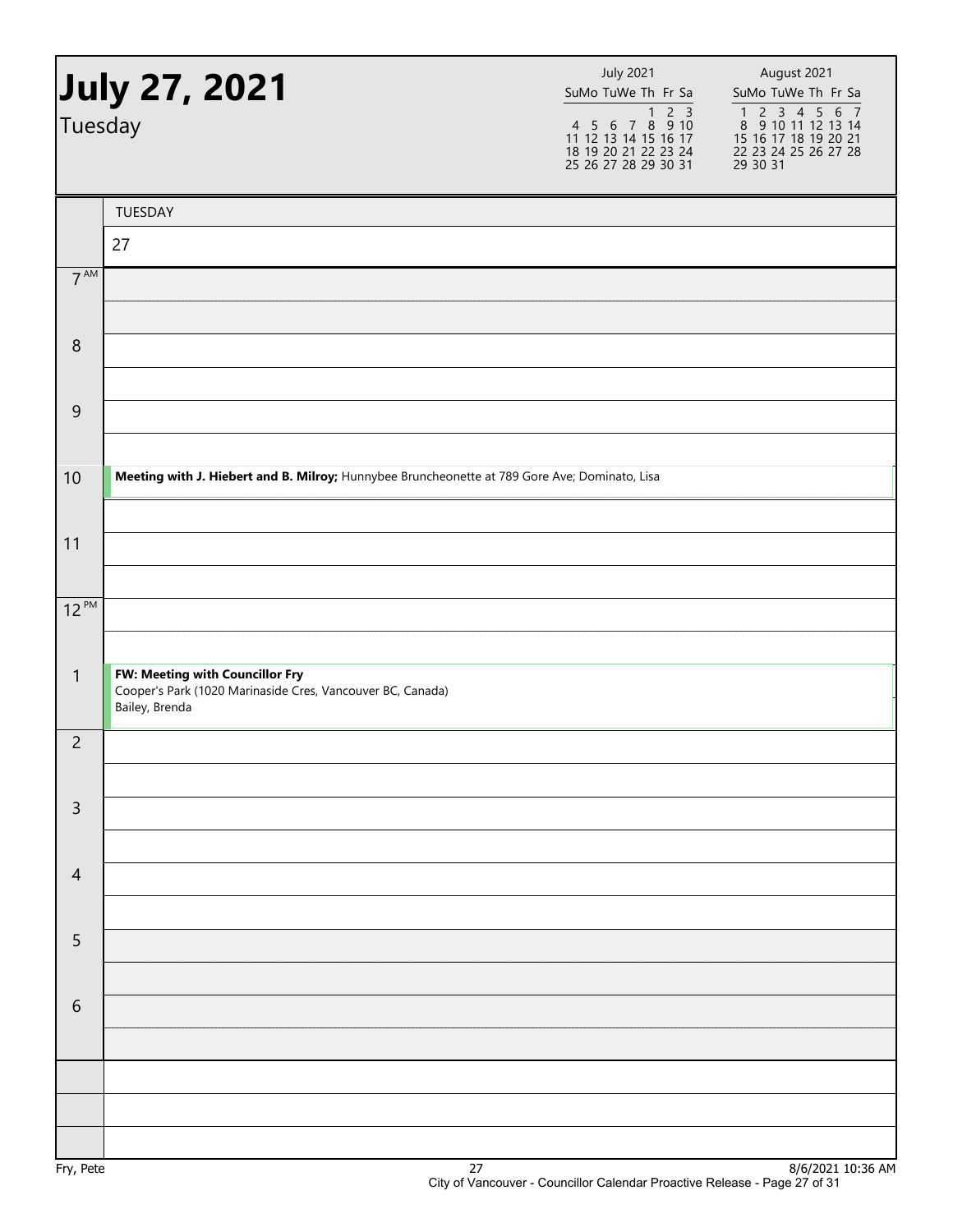| July 27, 2021        |                                                                                               | <b>July 2021</b><br>SuMo TuWe Th Fr Sa                                                 | August 2021<br>SuMo TuWe Th Fr Sa                                                                                                                             |
|----------------------|-----------------------------------------------------------------------------------------------|----------------------------------------------------------------------------------------|---------------------------------------------------------------------------------------------------------------------------------------------------------------|
| Tuesday              |                                                                                               | 4 5 6 7 8 9 10<br>11 12 13 14 15 16 17<br>18 19 20 21 22 23 24<br>25 26 27 28 29 30 31 | $\begin{array}{cccccc}\n1 & 2 & 3 & 4 & 5 & 6 & 7 \\ 8 & 9 & 10 & 11 & 12 & 13 & 14\n\end{array}$<br>15 16 17 18 19 20 21<br>22 23 24 25 26 27 28<br>29 30 31 |
|                      | TUESDAY                                                                                       |                                                                                        |                                                                                                                                                               |
|                      | 27                                                                                            |                                                                                        |                                                                                                                                                               |
| 7 <sup>AM</sup>      |                                                                                               |                                                                                        |                                                                                                                                                               |
|                      |                                                                                               |                                                                                        |                                                                                                                                                               |
| 8                    |                                                                                               |                                                                                        |                                                                                                                                                               |
|                      |                                                                                               |                                                                                        |                                                                                                                                                               |
| $\overline{9}$       |                                                                                               |                                                                                        |                                                                                                                                                               |
|                      |                                                                                               |                                                                                        |                                                                                                                                                               |
| 10                   | Meeting with J. Hiebert and B. Milroy; Hunnybee Bruncheonette at 789 Gore Ave; Dominato, Lisa |                                                                                        |                                                                                                                                                               |
|                      |                                                                                               |                                                                                        |                                                                                                                                                               |
| 11                   |                                                                                               |                                                                                        |                                                                                                                                                               |
|                      |                                                                                               |                                                                                        |                                                                                                                                                               |
| $12^{PM}$            |                                                                                               |                                                                                        |                                                                                                                                                               |
| $\mathbf{1}$         | FW: Meeting with Councillor Fry                                                               |                                                                                        |                                                                                                                                                               |
|                      | Cooper's Park (1020 Marinaside Cres, Vancouver BC, Canada)<br>Bailey, Brenda                  |                                                                                        |                                                                                                                                                               |
| $\overline{c}$       |                                                                                               |                                                                                        |                                                                                                                                                               |
|                      |                                                                                               |                                                                                        |                                                                                                                                                               |
| $\mathsf{3}$         |                                                                                               |                                                                                        |                                                                                                                                                               |
|                      |                                                                                               |                                                                                        |                                                                                                                                                               |
| $\overline{4}$       |                                                                                               |                                                                                        |                                                                                                                                                               |
|                      |                                                                                               |                                                                                        |                                                                                                                                                               |
| $\overline{5}$       |                                                                                               |                                                                                        |                                                                                                                                                               |
|                      |                                                                                               |                                                                                        |                                                                                                                                                               |
| 6                    |                                                                                               |                                                                                        |                                                                                                                                                               |
|                      |                                                                                               |                                                                                        |                                                                                                                                                               |
|                      |                                                                                               |                                                                                        |                                                                                                                                                               |
|                      |                                                                                               |                                                                                        |                                                                                                                                                               |
| $E_{m1}$ , $D_{n+n}$ | 77                                                                                            |                                                                                        | Q/E/2021, 10.26, AN                                                                                                                                           |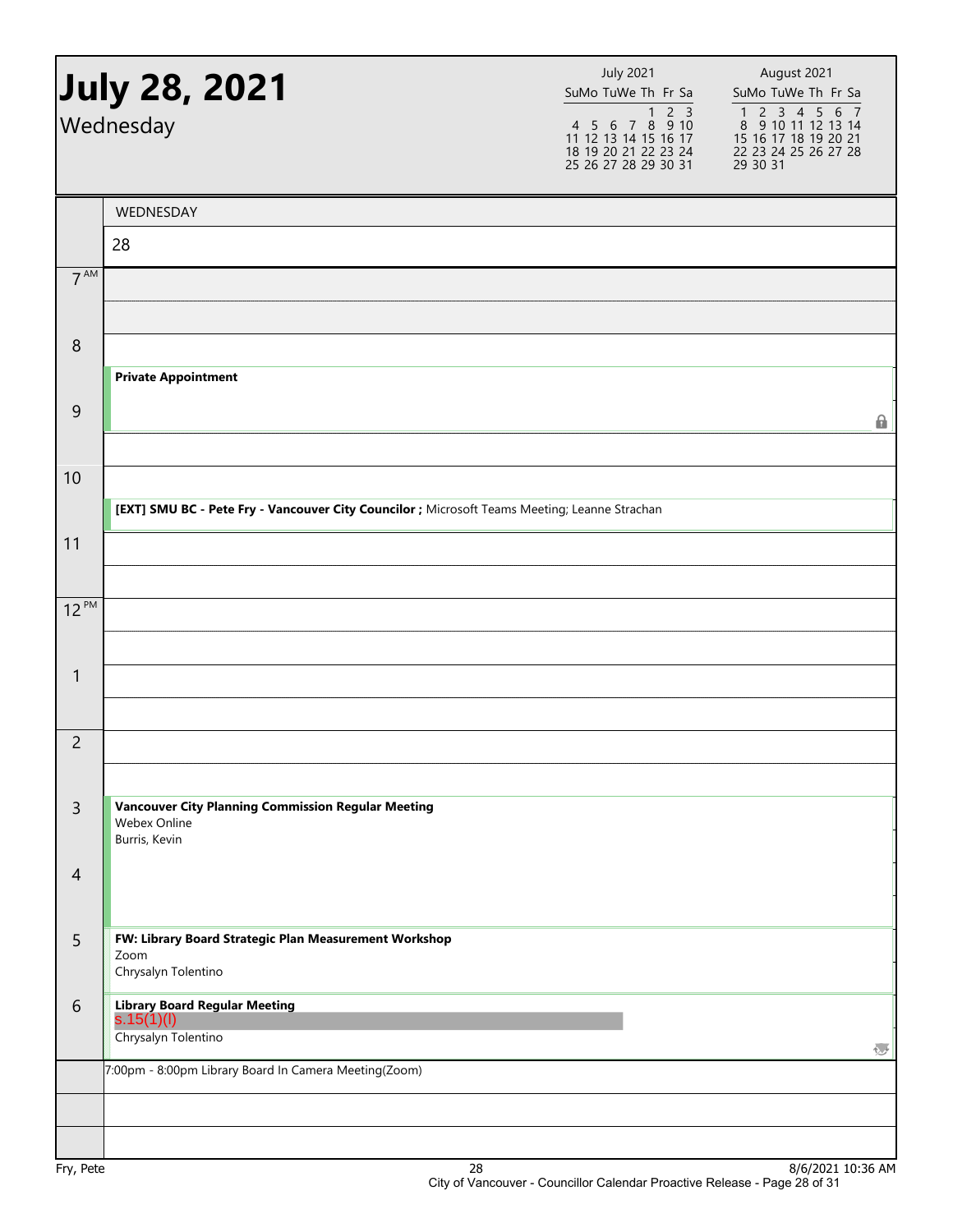|                  | <b>July 28, 2021</b><br>Wednesday                                                             | <b>July 2021</b><br>SuMo TuWe Th Fr Sa<br>4 5 6 7 8 9 10<br>11 12 13 14 15 16 17<br>18 19 20 21 22 23 24<br>25 26 27 28 29 30 31 | August 2021<br>SuMo TuWe Th Fr Sa<br>1 2 3 4 5 6 7<br>8 9 10 11 12 13 14<br>15 16 17 18 19 20 21<br>22 23 24 25 26 27 28<br>29 30 31 |
|------------------|-----------------------------------------------------------------------------------------------|----------------------------------------------------------------------------------------------------------------------------------|--------------------------------------------------------------------------------------------------------------------------------------|
|                  | WEDNESDAY                                                                                     |                                                                                                                                  |                                                                                                                                      |
|                  | 28                                                                                            |                                                                                                                                  |                                                                                                                                      |
| 7 <sup>AM</sup>  |                                                                                               |                                                                                                                                  |                                                                                                                                      |
| $\boldsymbol{8}$ |                                                                                               |                                                                                                                                  |                                                                                                                                      |
| $\overline{9}$   | <b>Private Appointment</b>                                                                    |                                                                                                                                  | $\mathbf{r}$                                                                                                                         |
| 10               | [EXT] SMU BC - Pete Fry - Vancouver City Councilor ; Microsoft Teams Meeting; Leanne Strachan |                                                                                                                                  |                                                                                                                                      |
| 11               |                                                                                               |                                                                                                                                  |                                                                                                                                      |
| $12^{PM}$        |                                                                                               |                                                                                                                                  |                                                                                                                                      |
| 1                |                                                                                               |                                                                                                                                  |                                                                                                                                      |
| $\overline{2}$   |                                                                                               |                                                                                                                                  |                                                                                                                                      |
| $\mathsf{3}$     | <b>Vancouver City Planning Commission Regular Meeting</b><br>Webex Online<br>Burris, Kevin    |                                                                                                                                  |                                                                                                                                      |
| $\overline{4}$   |                                                                                               |                                                                                                                                  |                                                                                                                                      |
| 5                | FW: Library Board Strategic Plan Measurement Workshop<br>Zoom<br>Chrysalyn Tolentino          |                                                                                                                                  |                                                                                                                                      |
| 6                | Library Board Regular Meeting<br>S.15(1)(l)<br>Chrysalyn Tolentino                            |                                                                                                                                  | λU                                                                                                                                   |
|                  | 7:00pm - 8:00pm Library Board In Camera Meeting(Zoom)                                         |                                                                                                                                  |                                                                                                                                      |
| Fry, Pete        |                                                                                               | 28                                                                                                                               | 8/6/2021 10:36 AM                                                                                                                    |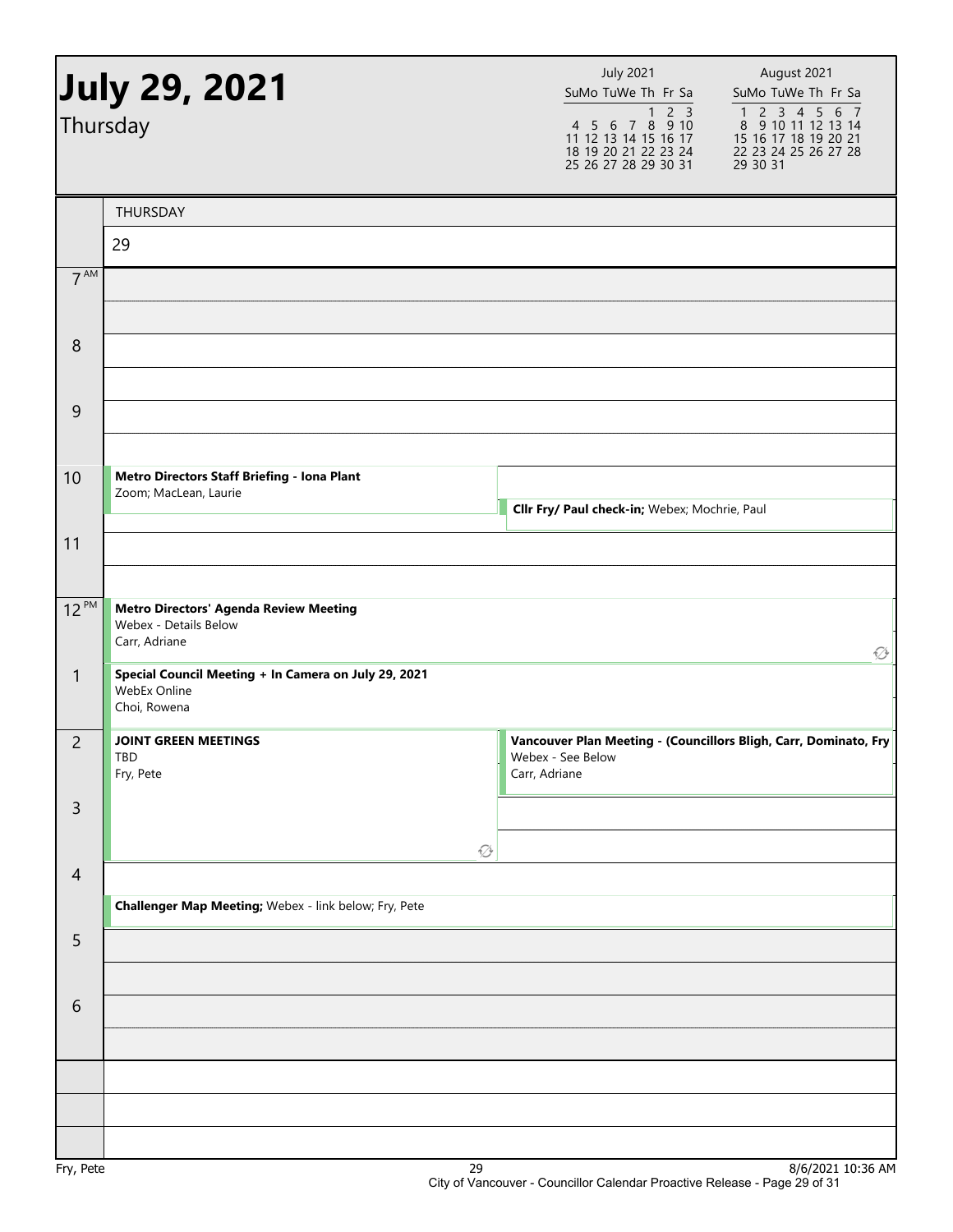| <b>July 29, 2021</b><br>Thursday |                                                                                         | <b>July 2021</b><br>SuMo TuWe Th Fr Sa<br>$2 \overline{3}$<br>1<br>4 5 6 7 8 9 10<br>11 12 13 14 15 16 17<br>18 19 20 21 22 23 24<br>25 26 27 28 29 30 31 | August 2021<br>SuMo TuWe Th Fr Sa<br>$\begin{array}{cccccc}\n1 & 2 & 3 & 4 & 5 & 6 & 7 \\ 8 & 9 & 10 & 11 & 12 & 13 & 14\n\end{array}$<br>15 16 17 18 19 20 21<br>22 23 24 25 26 27 28<br>29 30 31 |
|----------------------------------|-----------------------------------------------------------------------------------------|-----------------------------------------------------------------------------------------------------------------------------------------------------------|----------------------------------------------------------------------------------------------------------------------------------------------------------------------------------------------------|
|                                  | THURSDAY                                                                                |                                                                                                                                                           |                                                                                                                                                                                                    |
|                                  | 29                                                                                      |                                                                                                                                                           |                                                                                                                                                                                                    |
| 7 <sup>AM</sup>                  |                                                                                         |                                                                                                                                                           |                                                                                                                                                                                                    |
| 8                                |                                                                                         |                                                                                                                                                           |                                                                                                                                                                                                    |
| 9                                |                                                                                         |                                                                                                                                                           |                                                                                                                                                                                                    |
| 10                               | Metro Directors Staff Briefing - Iona Plant<br>Zoom; MacLean, Laurie                    | Cllr Fry/ Paul check-in; Webex; Mochrie, Paul                                                                                                             |                                                                                                                                                                                                    |
| 11                               |                                                                                         |                                                                                                                                                           |                                                                                                                                                                                                    |
| $12^{PM}$                        | <b>Metro Directors' Agenda Review Meeting</b><br>Webex - Details Below<br>Carr, Adriane |                                                                                                                                                           | $\varnothing$                                                                                                                                                                                      |
| $\mathbf{1}$                     | Special Council Meeting + In Camera on July 29, 2021<br>WebEx Online<br>Choi, Rowena    |                                                                                                                                                           |                                                                                                                                                                                                    |
| $\overline{c}$                   | <b>JOINT GREEN MEETINGS</b><br>TBD<br>Fry, Pete                                         | Vancouver Plan Meeting - (Councillors Bligh, Carr, Dominato, Fry<br>Webex - See Below<br>Carr, Adriane                                                    |                                                                                                                                                                                                    |
| $\mathsf{3}$                     | $\varnothing$                                                                           |                                                                                                                                                           |                                                                                                                                                                                                    |
| $\overline{4}$                   |                                                                                         |                                                                                                                                                           |                                                                                                                                                                                                    |
|                                  | Challenger Map Meeting; Webex - link below; Fry, Pete                                   |                                                                                                                                                           |                                                                                                                                                                                                    |
| 5                                |                                                                                         |                                                                                                                                                           |                                                                                                                                                                                                    |
| 6                                |                                                                                         |                                                                                                                                                           |                                                                                                                                                                                                    |
|                                  |                                                                                         |                                                                                                                                                           |                                                                                                                                                                                                    |
|                                  |                                                                                         |                                                                                                                                                           |                                                                                                                                                                                                    |
|                                  | $\mathcal{D}$                                                                           |                                                                                                                                                           | $Q/C/2021, 10.2C$ AM                                                                                                                                                                               |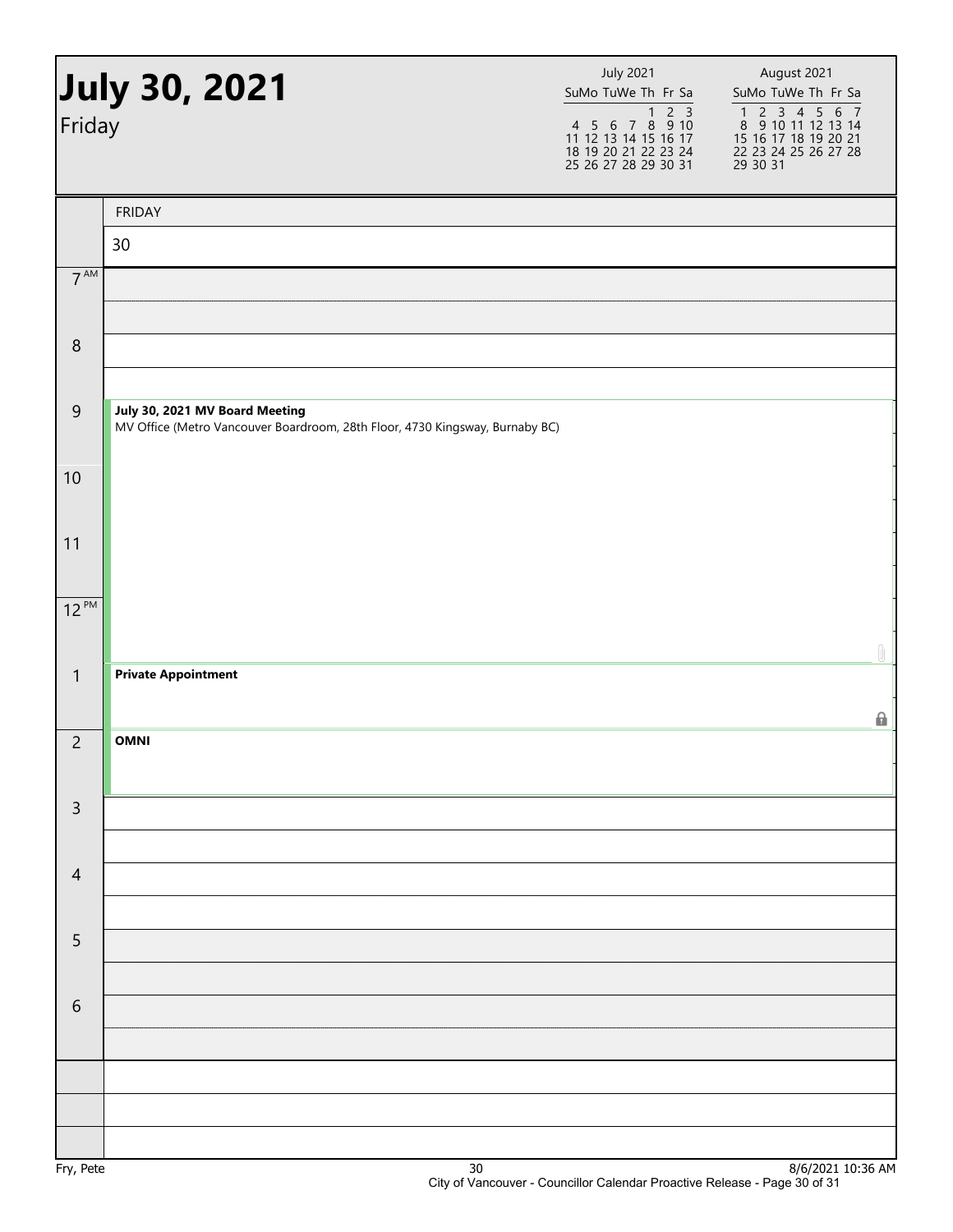| <b>July 30, 2021</b><br>Friday |                                                                                                                | <b>July 2021</b><br>SuMo TuWe Th Fr Sa<br>1 2 3<br>4 5 6 7 8 9 10<br>11 12 13 14 15 16 17<br>18 19 20 21 22 23 24<br>25 26 27 28 29 30 31 | August 2021<br>SuMo TuWe Th Fr Sa<br>$\begin{array}{cccccc}\n1 & 2 & 3 & 4 & 5 & 6 & 7 \\ 8 & 9 & 10 & 11 & 12 & 13 & 14\n\end{array}$<br>15 16 17 18 19 20 21<br>22 23 24 25 26 27 28<br>29 30 31 |
|--------------------------------|----------------------------------------------------------------------------------------------------------------|-------------------------------------------------------------------------------------------------------------------------------------------|----------------------------------------------------------------------------------------------------------------------------------------------------------------------------------------------------|
|                                | <b>FRIDAY</b>                                                                                                  |                                                                                                                                           |                                                                                                                                                                                                    |
|                                | 30                                                                                                             |                                                                                                                                           |                                                                                                                                                                                                    |
| 7 <sup>AM</sup>                |                                                                                                                |                                                                                                                                           |                                                                                                                                                                                                    |
| $\,8\,$                        |                                                                                                                |                                                                                                                                           |                                                                                                                                                                                                    |
| $\overline{9}$                 | July 30, 2021 MV Board Meeting<br>MV Office (Metro Vancouver Boardroom, 28th Floor, 4730 Kingsway, Burnaby BC) |                                                                                                                                           |                                                                                                                                                                                                    |
| $10\,$                         |                                                                                                                |                                                                                                                                           |                                                                                                                                                                                                    |
| 11                             |                                                                                                                |                                                                                                                                           |                                                                                                                                                                                                    |
| $12^{PM}$                      |                                                                                                                |                                                                                                                                           | Û                                                                                                                                                                                                  |
| $\mathbf{1}$                   | <b>Private Appointment</b>                                                                                     |                                                                                                                                           | 6                                                                                                                                                                                                  |
| $\overline{2}$                 | <b>OMNI</b>                                                                                                    |                                                                                                                                           |                                                                                                                                                                                                    |
| $\overline{3}$                 |                                                                                                                |                                                                                                                                           |                                                                                                                                                                                                    |
| $\overline{4}$                 |                                                                                                                |                                                                                                                                           |                                                                                                                                                                                                    |
| 5                              |                                                                                                                |                                                                                                                                           |                                                                                                                                                                                                    |
| 6                              |                                                                                                                |                                                                                                                                           |                                                                                                                                                                                                    |
|                                |                                                                                                                |                                                                                                                                           |                                                                                                                                                                                                    |
|                                |                                                                                                                |                                                                                                                                           |                                                                                                                                                                                                    |
|                                |                                                                                                                |                                                                                                                                           |                                                                                                                                                                                                    |
| Fry, Pete                      | $30\,$                                                                                                         |                                                                                                                                           | 8/6/2021 10:36 AM                                                                                                                                                                                  |